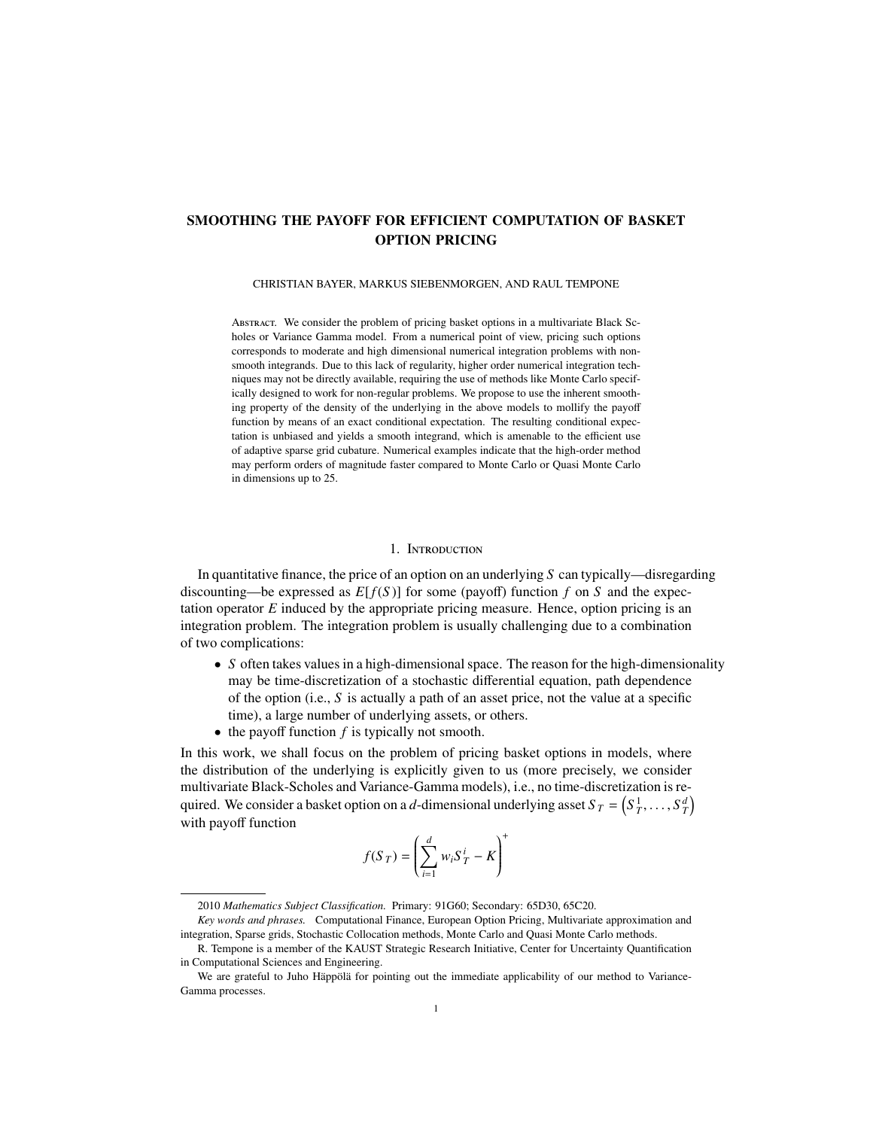# SMOOTHING THE PAYOFF FOR EFFICIENT COMPUTATION OF BASKET OPTION PRICING

#### CHRISTIAN BAYER, MARKUS SIEBENMORGEN, AND RAUL TEMPONE

Abstract. We consider the problem of pricing basket options in a multivariate Black Scholes or Variance Gamma model. From a numerical point of view, pricing such options corresponds to moderate and high dimensional numerical integration problems with nonsmooth integrands. Due to this lack of regularity, higher order numerical integration techniques may not be directly available, requiring the use of methods like Monte Carlo specifically designed to work for non-regular problems. We propose to use the inherent smoothing property of the density of the underlying in the above models to mollify the payoff function by means of an exact conditional expectation. The resulting conditional expectation is unbiased and yields a smooth integrand, which is amenable to the efficient use of adaptive sparse grid cubature. Numerical examples indicate that the high-order method may perform orders of magnitude faster compared to Monte Carlo or Quasi Monte Carlo in dimensions up to 25.

# 1. Introduction

<span id="page-0-0"></span>In quantitative finance, the price of an option on an underlying *S* can typically—disregarding discounting—be expressed as *E*[*f*(*S* )] for some (payoff) function *f* on *S* and the expectation operator *E* induced by the appropriate pricing measure. Hence, option pricing is an integration problem. The integration problem is usually challenging due to a combination of two complications:

- *S* often takes values in a high-dimensional space. The reason for the high-dimensionality may be time-discretization of a stochastic differential equation, path dependence of the option (i.e., *S* is actually a path of an asset price, not the value at a specific time), a large number of underlying assets, or others.
- the payoff function *f* is typically not smooth.

In this work, we shall focus on the problem of pricing basket options in models, where the distribution of the underlying is explicitly given to us (more precisely, we consider multivariate Black-Scholes and Variance-Gamma models), i.e., no time-discretization is required. We consider a basket option on a *d*-dimensional underlying asset  $S_T = (S_T^1, \ldots, S_T^d)$ <br>with payoff function with payoff function +

$$
f(S_T) = \left(\sum_{i=1}^d w_i S_T^i - K\right)
$$

<sup>2010</sup> *Mathematics Subject Classification.* Primary: 91G60; Secondary: 65D30, 65C20.

*Key words and phrases.* Computational Finance, European Option Pricing, Multivariate approximation and integration, Sparse grids, Stochastic Collocation methods, Monte Carlo and Quasi Monte Carlo methods.

R. Tempone is a member of the KAUST Strategic Research Initiative, Center for Uncertainty Quantification in Computational Sciences and Engineering.

We are grateful to Juho Häppölä for pointing out the immediate applicability of our method to Variance-Gamma processes.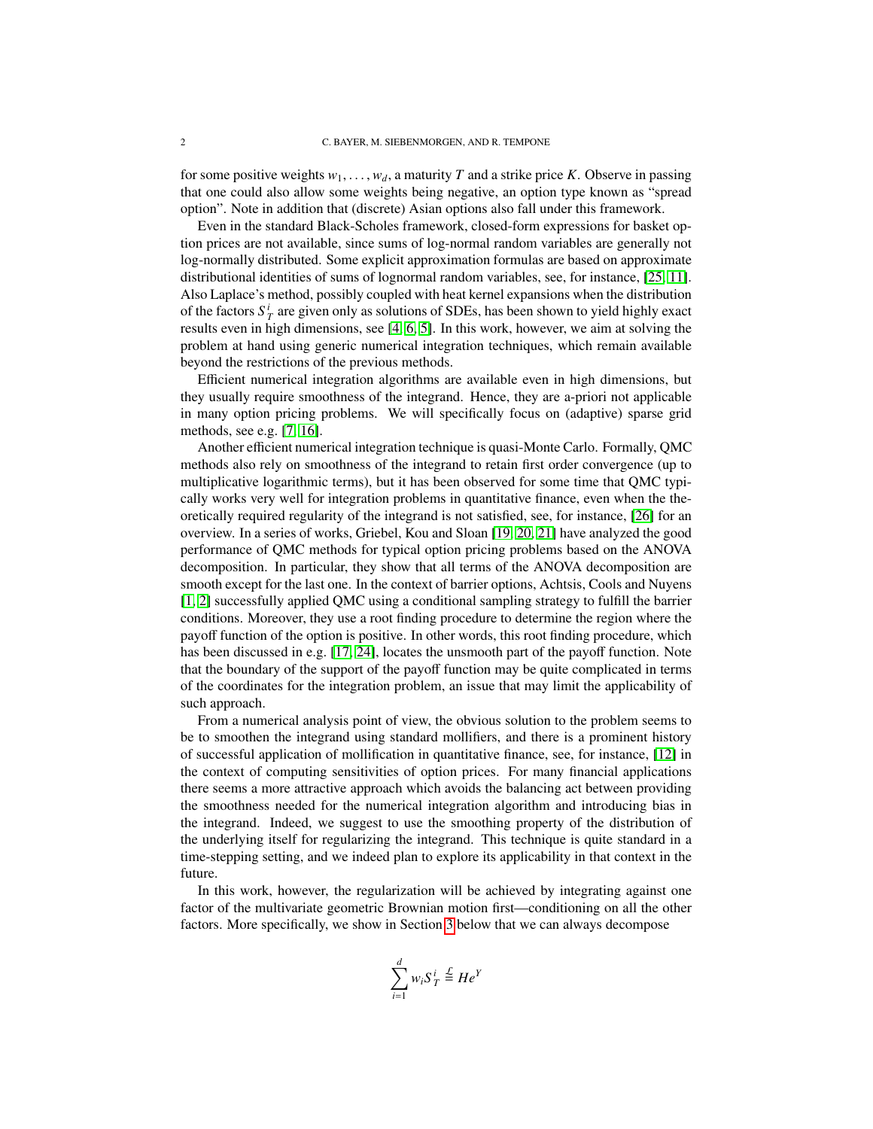for some positive weights  $w_1, \ldots, w_d$ , a maturity *T* and a strike price *K*. Observe in passing that one could also allow some weights being negative, an option type known as "spread option". Note in addition that (discrete) Asian options also fall under this framework.

Even in the standard Black-Scholes framework, closed-form expressions for basket option prices are not available, since sums of log-normal random variables are generally not log-normally distributed. Some explicit approximation formulas are based on approximate distributional identities of sums of lognormal random variables, see, for instance, [\[25,](#page-19-0) [11\]](#page-19-1). Also Laplace's method, possibly coupled with heat kernel expansions when the distribution of the factors  $S_T^i$  are given only as solutions of SDEs, has been shown to yield highly exact results even in high dimensions, see [\[4,](#page-19-2) [6,](#page-19-3) [5\]](#page-19-4). In this work, however, we aim at solving the problem at hand using generic numerical integration techniques, which remain available beyond the restrictions of the previous methods.

Efficient numerical integration algorithms are available even in high dimensions, but they usually require smoothness of the integrand. Hence, they are a-priori not applicable in many option pricing problems. We will specifically focus on (adaptive) sparse grid methods, see e.g. [\[7,](#page-19-5) [16\]](#page-19-6).

Another efficient numerical integration technique is quasi-Monte Carlo. Formally, QMC methods also rely on smoothness of the integrand to retain first order convergence (up to multiplicative logarithmic terms), but it has been observed for some time that QMC typically works very well for integration problems in quantitative finance, even when the theoretically required regularity of the integrand is not satisfied, see, for instance, [\[26\]](#page-19-7) for an overview. In a series of works, Griebel, Kou and Sloan [\[19,](#page-19-8) [20,](#page-19-9) [21\]](#page-19-10) have analyzed the good performance of QMC methods for typical option pricing problems based on the ANOVA decomposition. In particular, they show that all terms of the ANOVA decomposition are smooth except for the last one. In the context of barrier options, Achtsis, Cools and Nuyens [\[1,](#page-18-0) [2\]](#page-18-1) successfully applied QMC using a conditional sampling strategy to fulfill the barrier conditions. Moreover, they use a root finding procedure to determine the region where the payoff function of the option is positive. In other words, this root finding procedure, which has been discussed in e.g. [\[17,](#page-19-11) [24\]](#page-19-12), locates the unsmooth part of the payoff function. Note that the boundary of the support of the payoff function may be quite complicated in terms of the coordinates for the integration problem, an issue that may limit the applicability of such approach.

From a numerical analysis point of view, the obvious solution to the problem seems to be to smoothen the integrand using standard mollifiers, and there is a prominent history of successful application of mollification in quantitative finance, see, for instance, [\[12\]](#page-19-13) in the context of computing sensitivities of option prices. For many financial applications there seems a more attractive approach which avoids the balancing act between providing the smoothness needed for the numerical integration algorithm and introducing bias in the integrand. Indeed, we suggest to use the smoothing property of the distribution of the underlying itself for regularizing the integrand. This technique is quite standard in a time-stepping setting, and we indeed plan to explore its applicability in that context in the future.

In this work, however, the regularization will be achieved by integrating against one factor of the multivariate geometric Brownian motion first—conditioning on all the other factors. More specifically, we show in Section [3](#page-6-0) below that we can always decompose

$$
\sum_{i=1}^d w_i S_T^i \stackrel{\mathcal{L}}{=} H e^Y
$$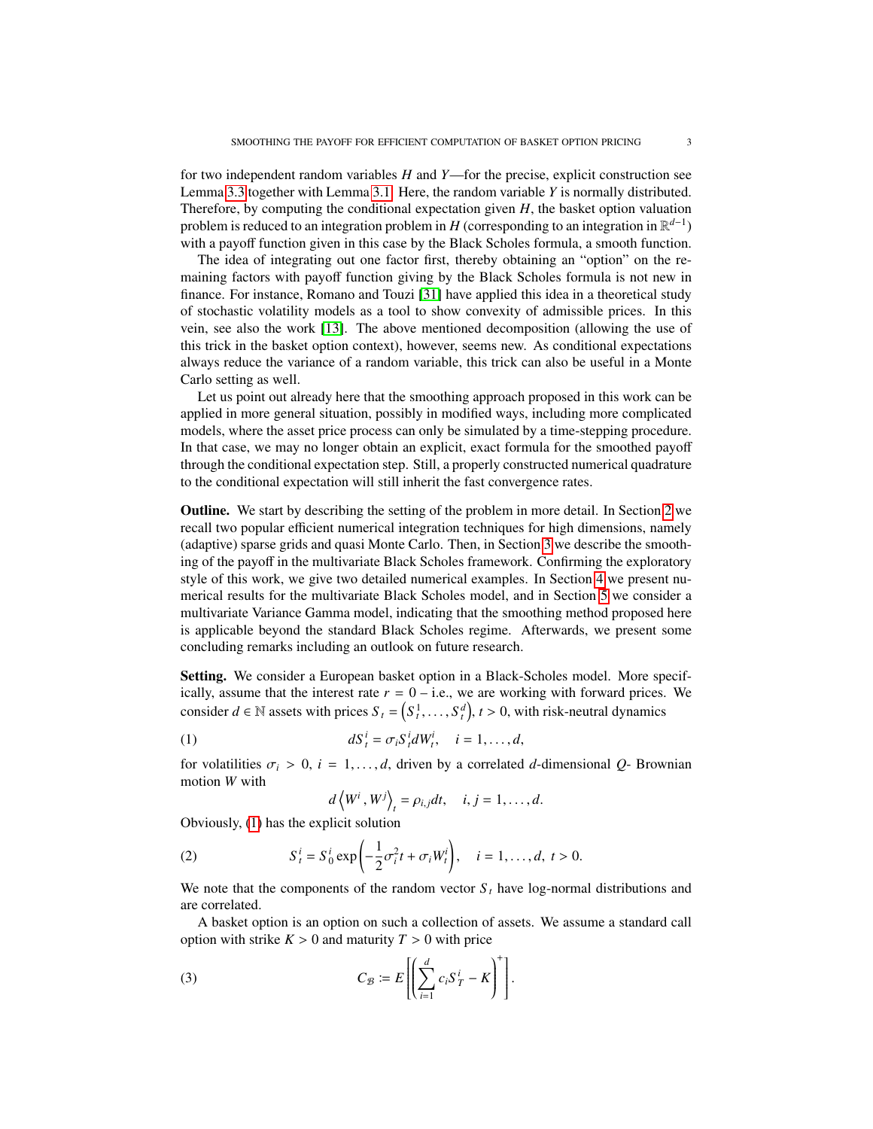for two independent random variables *H* and *Y*—for the precise, explicit construction see Lemma [3.3](#page-8-0) together with Lemma [3.1.](#page-7-0) Here, the random variable *Y* is normally distributed. Therefore, by computing the conditional expectation given *H*, the basket option valuation problem is reduced to an integration problem in *H* (corresponding to an integration in  $\mathbb{R}^{d-1}$ ) with a payoff function given in this case by the Black Scholes formula, a smooth function.

The idea of integrating out one factor first, thereby obtaining an "option" on the remaining factors with payoff function giving by the Black Scholes formula is not new in finance. For instance, Romano and Touzi [\[31\]](#page-19-14) have applied this idea in a theoretical study of stochastic volatility models as a tool to show convexity of admissible prices. In this vein, see also the work [\[13\]](#page-19-15). The above mentioned decomposition (allowing the use of this trick in the basket option context), however, seems new. As conditional expectations always reduce the variance of a random variable, this trick can also be useful in a Monte Carlo setting as well.

Let us point out already here that the smoothing approach proposed in this work can be applied in more general situation, possibly in modified ways, including more complicated models, where the asset price process can only be simulated by a time-stepping procedure. In that case, we may no longer obtain an explicit, exact formula for the smoothed payoff through the conditional expectation step. Still, a properly constructed numerical quadrature to the conditional expectation will still inherit the fast convergence rates.

Outline. We start by describing the setting of the problem in more detail. In Section [2](#page-3-0) we recall two popular efficient numerical integration techniques for high dimensions, namely (adaptive) sparse grids and quasi Monte Carlo. Then, in Section [3](#page-6-0) we describe the smoothing of the payoff in the multivariate Black Scholes framework. Confirming the exploratory style of this work, we give two detailed numerical examples. In Section [4](#page-9-0) we present numerical results for the multivariate Black Scholes model, and in Section [5](#page-14-0) we consider a multivariate Variance Gamma model, indicating that the smoothing method proposed here is applicable beyond the standard Black Scholes regime. Afterwards, we present some concluding remarks including an outlook on future research.

Setting. We consider a European basket option in a Black-Scholes model. More specifically, assume that the interest rate  $r = 0 - i.e.,$  we are working with forward prices. We consider  $d \in \mathbb{N}$  assets with prices  $S_t = (S_t^1, \dots, S_t^d)$ ,  $t > 0$ , with risk-neutral dynamics

(1) 
$$
dS_t^i = \sigma_i S_t^i dW_t^i, \quad i = 1, \dots, d,
$$

for volatilities  $\sigma_i > 0$ ,  $i = 1, \ldots, d$ , driven by a correlated *d*-dimensional *Q*- Brownian motion *W* with

<span id="page-2-2"></span><span id="page-2-1"></span><span id="page-2-0"></span>
$$
d\left\langle W^i, W^j\right\rangle_t = \rho_{i,j} dt, \quad i, j = 1, \ldots, d.
$$

Obviously, [\(1\)](#page-2-0) has the explicit solution

(2) 
$$
S_t^i = S_0^i \exp \left(-\frac{1}{2}\sigma_i^2 t + \sigma_i W_t^i\right), \quad i = 1, ..., d, t > 0.
$$

We note that the components of the random vector  $S_t$  have log-normal distributions and are correlated.

A basket option is an option on such a collection of assets. We assume a standard call option with strike  $K > 0$  and maturity  $T > 0$  with price

(3) 
$$
C_{\mathcal{B}} \coloneqq E\left[\left(\sum_{i=1}^d c_i S_T^i - K\right)^+\right].
$$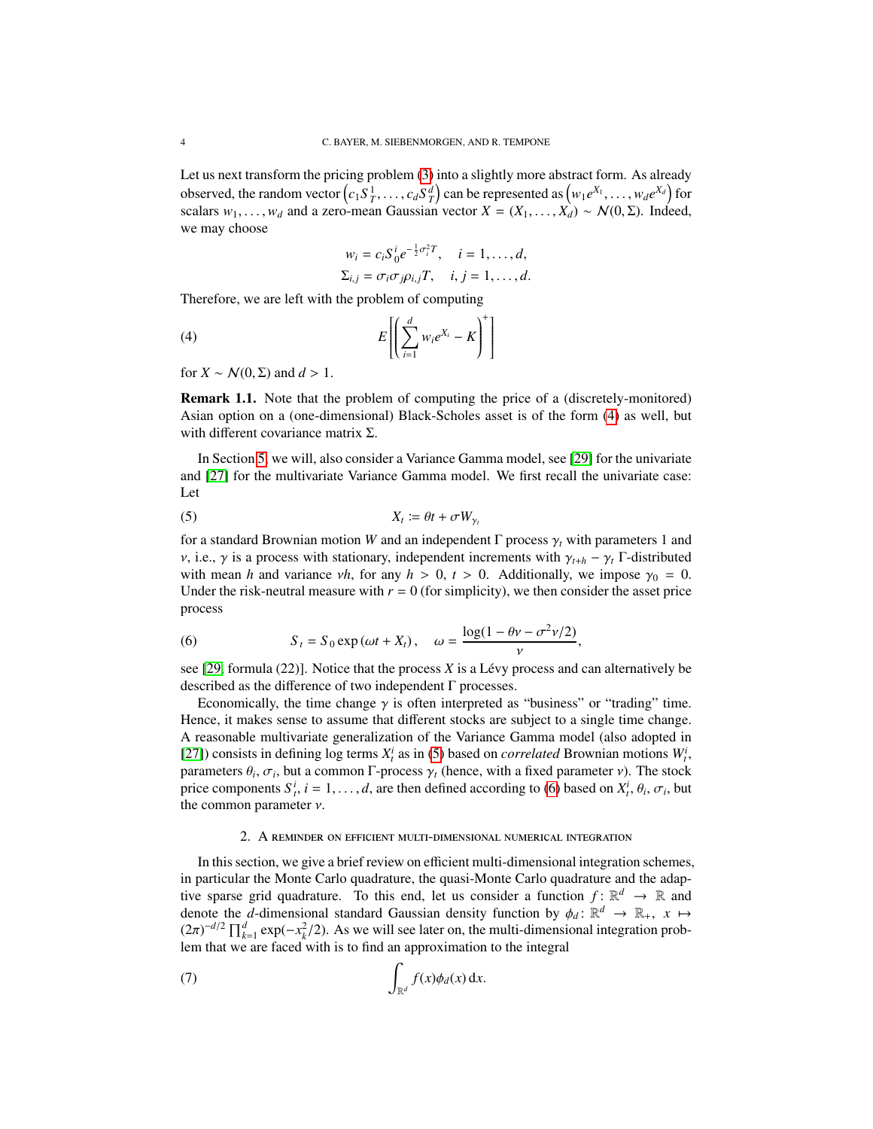Let us next transform the pricing problem [\(3\)](#page-2-1) into a slightly more abstract form. As already observed, the random vector  $(c_1S_1^1, \ldots, c_dS_d^d)$  can be represented as  $(w_1e^{X_1}, \ldots, w_de^{X_d})$  for scalars  $w_1, \ldots, w_d$  and a zero-mean Gaussian vector  $X = (X_1, \ldots, X_d) \sim \mathcal{N}(0, \Sigma)$ . Indeed, we may choose

<span id="page-3-1"></span>
$$
w_i = c_i S_0^i e^{-\frac{1}{2}\sigma_i^2 T}, \quad i = 1, \dots, d,
$$
  

$$
\Sigma_{i,j} = \sigma_i \sigma_j \rho_{i,j} T, \quad i, j = 1, \dots, d.
$$

Therefore, we are left with the problem of computing

$$
(4) \t E\left[\left(\sum_{i=1}^d w_i e^{X_i} - K\right)^+\right]
$$

for  $X \sim \mathcal{N}(0, \Sigma)$  and  $d > 1$ .

Remark 1.1. Note that the problem of computing the price of a (discretely-monitored) Asian option on a (one-dimensional) Black-Scholes asset is of the form [\(4\)](#page-3-1) as well, but with different covariance matrix  $\Sigma$ .

In Section [5,](#page-14-0) we will, also consider a Variance Gamma model, see [\[29\]](#page-19-16) for the univariate and [\[27\]](#page-19-17) for the multivariate Variance Gamma model. We first recall the univariate case: Let

<span id="page-3-2"></span>
$$
X_t := \theta t + \sigma W_{\gamma_t}
$$

for a standard Brownian motion *W* and an independent  $\Gamma$  process  $\gamma_t$  with parameters 1 and <sup>ν</sup>, i.e., <sup>γ</sup> is a process with stationary, independent increments with <sup>γ</sup>*<sup>t</sup>*+*<sup>h</sup>* <sup>−</sup> <sup>γ</sup>*<sup>t</sup>* <sup>Γ</sup>-distributed with mean *h* and variance  $vh$ , for any  $h > 0$ ,  $t > 0$ . Additionally, we impose  $\gamma_0 = 0$ . Under the risk-neutral measure with  $r = 0$  (for simplicity), we then consider the asset price process

<span id="page-3-3"></span>(6) 
$$
S_t = S_0 \exp(\omega t + X_t), \quad \omega = \frac{\log(1 - \theta \nu - \sigma^2 \nu/2)}{\nu},
$$

see [\[29,](#page-19-16) formula (22)]. Notice that the process *X* is a Lévy process and can alternatively be described as the difference of two independent Γ processes.

Economically, the time change  $\gamma$  is often interpreted as "business" or "trading" time. Hence, it makes sense to assume that different stocks are subject to a single time change. A reasonable multivariate generalization of the Variance Gamma model (also adopted in [\[27\]](#page-19-17)) consists in defining log terms  $X_t^i$  as in [\(5\)](#page-3-2) based on *correlated* Brownian motions  $W_t^i$ , parameters  $\theta_i$ ,  $\sigma_i$ , but a common Γ-process  $\gamma_t$  (hence, with a fixed parameter *v*). The stock<br>price components  $S^i$  *i* = 1 d are then defined according to (6) based on  $X^i$   $\theta_i$ ,  $\sigma_i$ , but price components  $S_i^i$ ,  $i = 1, ..., d$ , are then defined according to [\(6\)](#page-3-3) based on  $X_i^i$ ,  $\theta_i$ ,  $\sigma_i$ , but the common parameter *y* the common parameter  $\nu$ .

### <span id="page-3-4"></span>2. A reminder on efficient multi-dimensional numerical integration

<span id="page-3-0"></span>In this section, we give a brief review on efficient multi-dimensional integration schemes, in particular the Monte Carlo quadrature, the quasi-Monte Carlo quadrature and the adaptive sparse grid quadrature. To this end, let us consider a function  $f: \mathbb{R}^d \to \mathbb{R}$  and denote the *d*-dimensional standard Gaussian density function by  $\phi_d \colon \mathbb{R}^d \to \mathbb{R}_+$ ,  $x \mapsto$ <br> $(2\pi)^{-d/2} \Pi^d$  exp( $-x^2/2$ ). As we will see later on the multi-dimensional integration prob- $(2\pi)^{-d/2} \prod_{k=1}^{d} \exp(-x_k^2/2)$ . As we will see later on, the multi-dimensional integration prob-<br>lem that we are faced with is to find an approximation to the integral lem that we are faced with is to find an approximation to the integral

(7) 
$$
\int_{\mathbb{R}^d} f(x) \phi_d(x) dx.
$$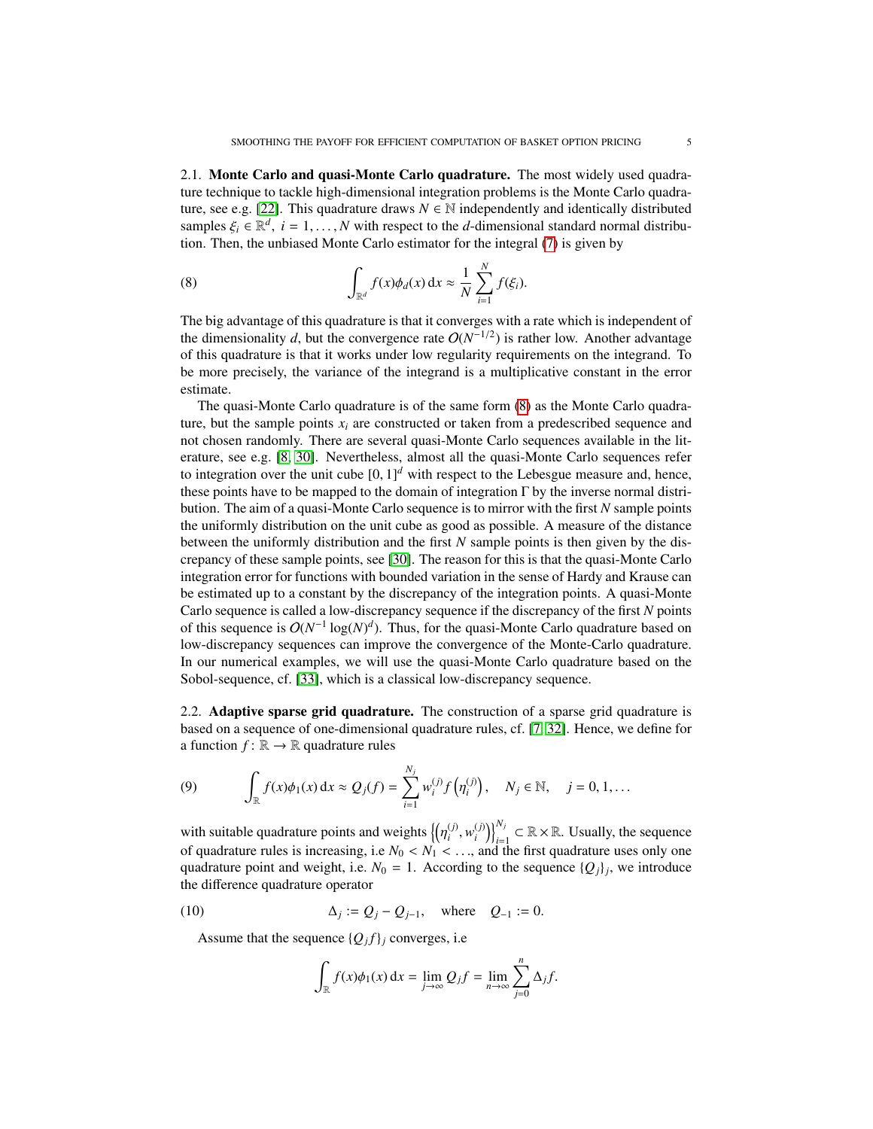2.1. Monte Carlo and quasi-Monte Carlo quadrature. The most widely used quadrature technique to tackle high-dimensional integration problems is the Monte Carlo quadra-ture, see e.g. [\[22\]](#page-19-18). This quadrature draws  $N \in \mathbb{N}$  independently and identically distributed samples  $\xi_i \in \mathbb{R}^d$ ,  $i = 1, ..., N$  with respect to the *d*-dimensional standard normal distribu-<br>tion. Then the unbiased Monte Carlo estimator for the integral (7) is given by tion. Then, the unbiased Monte Carlo estimator for the integral [\(7\)](#page-3-4) is given by

<span id="page-4-0"></span>(8) 
$$
\int_{\mathbb{R}^d} f(x) \phi_d(x) dx \approx \frac{1}{N} \sum_{i=1}^N f(\xi_i).
$$

The big advantage of this quadrature is that it converges with a rate which is independent of the dimensionality *d*, but the convergence rate  $O(N^{-1/2})$  is rather low. Another advantage of this quadrature is that it works under low regularity requirements on the integrand. To be more precisely, the variance of the integrand is a multiplicative constant in the error estimate.

The quasi-Monte Carlo quadrature is of the same form [\(8\)](#page-4-0) as the Monte Carlo quadrature, but the sample points  $x_i$  are constructed or taken from a predescribed sequence and not chosen randomly. There are several quasi-Monte Carlo sequences available in the literature, see e.g. [\[8,](#page-19-19) [30\]](#page-19-20). Nevertheless, almost all the quasi-Monte Carlo sequences refer to integration over the unit cube  $[0, 1]^d$  with respect to the Lebesgue measure and, hence, these points have to be mapped to the domain of integration Γ by the inverse normal distribution. The aim of a quasi-Monte Carlo sequence is to mirror with the first *N* sample points the uniformly distribution on the unit cube as good as possible. A measure of the distance between the uniformly distribution and the first *N* sample points is then given by the discrepancy of these sample points, see [\[30\]](#page-19-20). The reason for this is that the quasi-Monte Carlo integration error for functions with bounded variation in the sense of Hardy and Krause can be estimated up to a constant by the discrepancy of the integration points. A quasi-Monte Carlo sequence is called a low-discrepancy sequence if the discrepancy of the first *N* points of this sequence is  $O(N^{-1} \log(N)^d)$ . Thus, for the quasi-Monte Carlo quadrature based on low-discrepancy sequences can improve the convergence of the Monte-Carlo quadrature. In our numerical examples, we will use the quasi-Monte Carlo quadrature based on the Sobol-sequence, cf. [\[33\]](#page-20-0), which is a classical low-discrepancy sequence.

<span id="page-4-3"></span>2.2. Adaptive sparse grid quadrature. The construction of a sparse grid quadrature is based on a sequence of one-dimensional quadrature rules, cf. [\[7,](#page-19-5) [32\]](#page-19-21). Hence, we define for a function  $f: \mathbb{R} \to \mathbb{R}$  quadrature rules

<span id="page-4-2"></span>(9) 
$$
\int_{\mathbb{R}} f(x) \phi_1(x) dx \approx Q_j(f) = \sum_{i=1}^{N_j} w_i^{(j)} f(\eta_i^{(j)}), \quad N_j \in \mathbb{N}, \quad j = 0, 1, ...
$$

with suitable quadrature points and weights  $\{\eta$ <br>of quadrature rules is increasing i.e.  $N \leq N$ (*j*)  $(v_i^j, w_i^{(j)})$  $\binom{(\mathbf{j})}{(\mathbf{i})}_{\mathbf{i}=1}^{N_{\mathbf{j}}} \subset \mathbb{R} \times \mathbb{R}$ . Usually, the sequence of quadrature rules is increasing, i.e  $N_0 < N_1 < ...$ , and the first quadrature uses only one<br>quadrature point and weight i.e.  $N_2 = 1$ . According to the sequence  $\{Q_i\}$ , we introduce quadrature point and weight, i.e.  $N_0 = 1$ . According to the sequence  $\{Q_j\}_j$ , we introduce the difference quadrature operator

(10) 
$$
\Delta_j := Q_j - Q_{j-1}
$$
, where  $Q_{-1} := 0$ .

Assume that the sequence  $\{Q_j f\}_j$  converges, i.e

<span id="page-4-1"></span>
$$
\int_{\mathbb{R}} f(x)\phi_1(x) dx = \lim_{j \to \infty} Q_j f = \lim_{n \to \infty} \sum_{j=0}^n \Delta_j f.
$$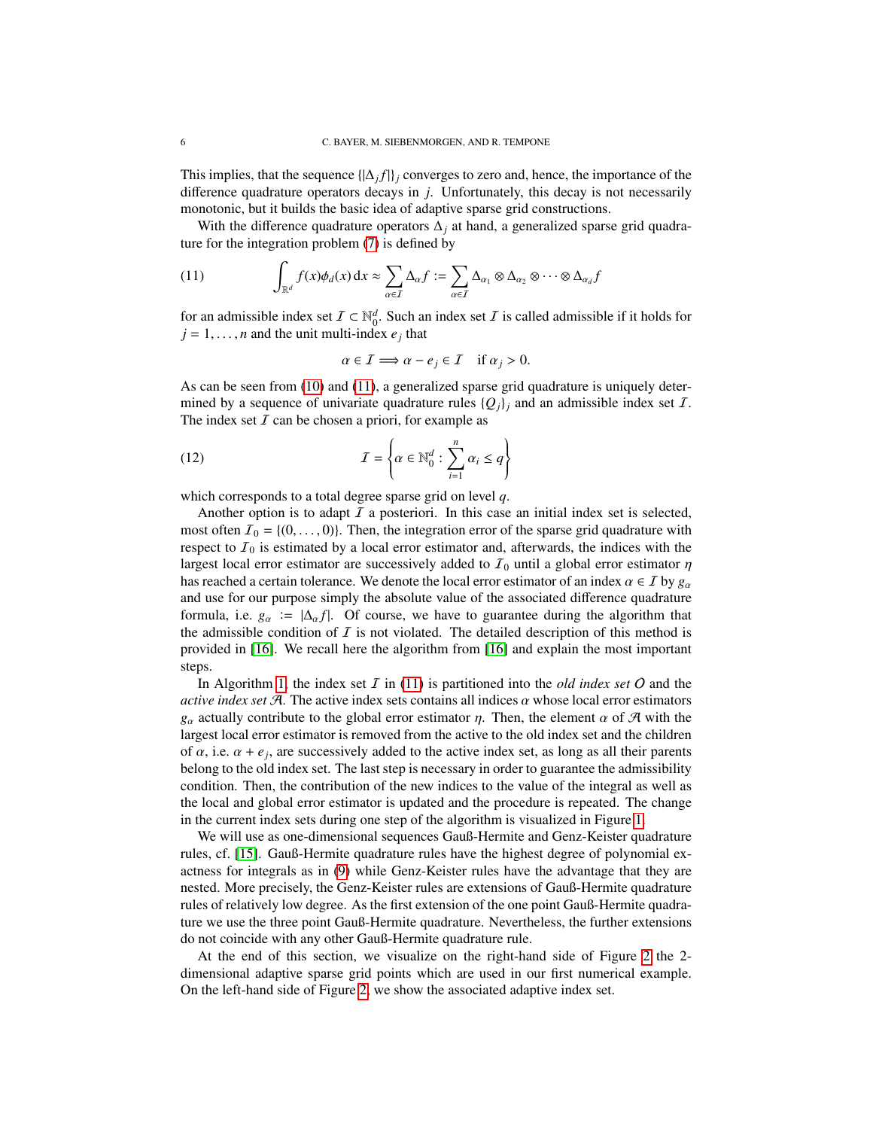This implies, that the sequence  $\{\Delta_j f\}_j$  converges to zero and, hence, the importance of the difference quadrature operators decays in *j*. Unfortunately, this decay is not necessarily monotonic, but it builds the basic idea of adaptive sparse grid constructions.

With the difference quadrature operators  $\Delta_i$  at hand, a generalized sparse grid quadrature for the integration problem [\(7\)](#page-3-4) is defined by

<span id="page-5-0"></span>(11) 
$$
\int_{\mathbb{R}^d} f(x) \phi_d(x) dx \approx \sum_{\alpha \in \mathcal{I}} \Delta_{\alpha} f := \sum_{\alpha \in \mathcal{I}} \Delta_{\alpha_1} \otimes \Delta_{\alpha_2} \otimes \cdots \otimes \Delta_{\alpha_d} f
$$

for an admissible index set  $\mathcal{I} \subset \mathbb{N}_0^d$ . Such an index set  $\mathcal{I}$  is called admissible if it holds for  $j = 1, \ldots, n$  and the unit multi-index  $e_j$  that

<span id="page-5-1"></span>
$$
\alpha \in \mathcal{I} \Longrightarrow \alpha - e_j \in \mathcal{I} \quad \text{if } \alpha_j > 0.
$$

As can be seen from [\(10\)](#page-4-1) and [\(11\)](#page-5-0), a generalized sparse grid quadrature is uniquely determined by a sequence of univariate quadrature rules  ${Q_i}_i$  and an admissible index set I. The index set  $I$  can be chosen a priori, for example as

(12) 
$$
I = \left\{ \alpha \in \mathbb{N}_0^d : \sum_{i=1}^n \alpha_i \le q \right\}
$$

which corresponds to a total degree sparse grid on level *q*.

Another option is to adapt  $I$  a posteriori. In this case an initial index set is selected, most often  $\mathcal{I}_0 = \{(0, \ldots, 0)\}\.$  Then, the integration error of the sparse grid quadrature with respect to  $I_0$  is estimated by a local error estimator and, afterwards, the indices with the largest local error estimator are successively added to  $I_0$  until a global error estimator  $\eta$ has reached a certain tolerance. We denote the local error estimator of an index  $\alpha \in I$  by  $g_{\alpha}$ and use for our purpose simply the absolute value of the associated difference quadrature formula, i.e.  $g_\alpha := |\Delta_\alpha f|$ . Of course, we have to guarantee during the algorithm that the admissible condition of  $I$  is not violated. The detailed description of this method is provided in [\[16\]](#page-19-6). We recall here the algorithm from [\[16\]](#page-19-6) and explain the most important steps.

In Algorithm [1,](#page-6-1) the index set  $\overline{I}$  in [\(11\)](#page-5-0) is partitioned into the *old index set*  $\overline{O}$  and the *active index set*  $A$ . The active index sets contains all indices  $\alpha$  whose local error estimators  $g_{\alpha}$  actually contribute to the global error estimator  $\eta$ . Then, the element  $\alpha$  of A with the largest local error estimator is removed from the active to the old index set and the children of  $\alpha$ , i.e.  $\alpha + e_j$ , are successively added to the active index set, as long as all their parents belong to the old index set. The last step is pecessary in order to quarantee the admissibility belong to the old index set. The last step is necessary in order to guarantee the admissibility condition. Then, the contribution of the new indices to the value of the integral as well as the local and global error estimator is updated and the procedure is repeated. The change in the current index sets during one step of the algorithm is visualized in Figure [1.](#page-6-2)

We will use as one-dimensional sequences Gauß-Hermite and Genz-Keister quadrature rules, cf. [\[15\]](#page-19-22). Gauß-Hermite quadrature rules have the highest degree of polynomial exactness for integrals as in [\(9\)](#page-4-2) while Genz-Keister rules have the advantage that they are nested. More precisely, the Genz-Keister rules are extensions of Gauß-Hermite quadrature rules of relatively low degree. As the first extension of the one point Gauß-Hermite quadrature we use the three point Gauß-Hermite quadrature. Nevertheless, the further extensions do not coincide with any other Gauß-Hermite quadrature rule.

At the end of this section, we visualize on the right-hand side of Figure [2](#page-7-1) the 2 dimensional adaptive sparse grid points which are used in our first numerical example. On the left-hand side of Figure [2,](#page-7-1) we show the associated adaptive index set.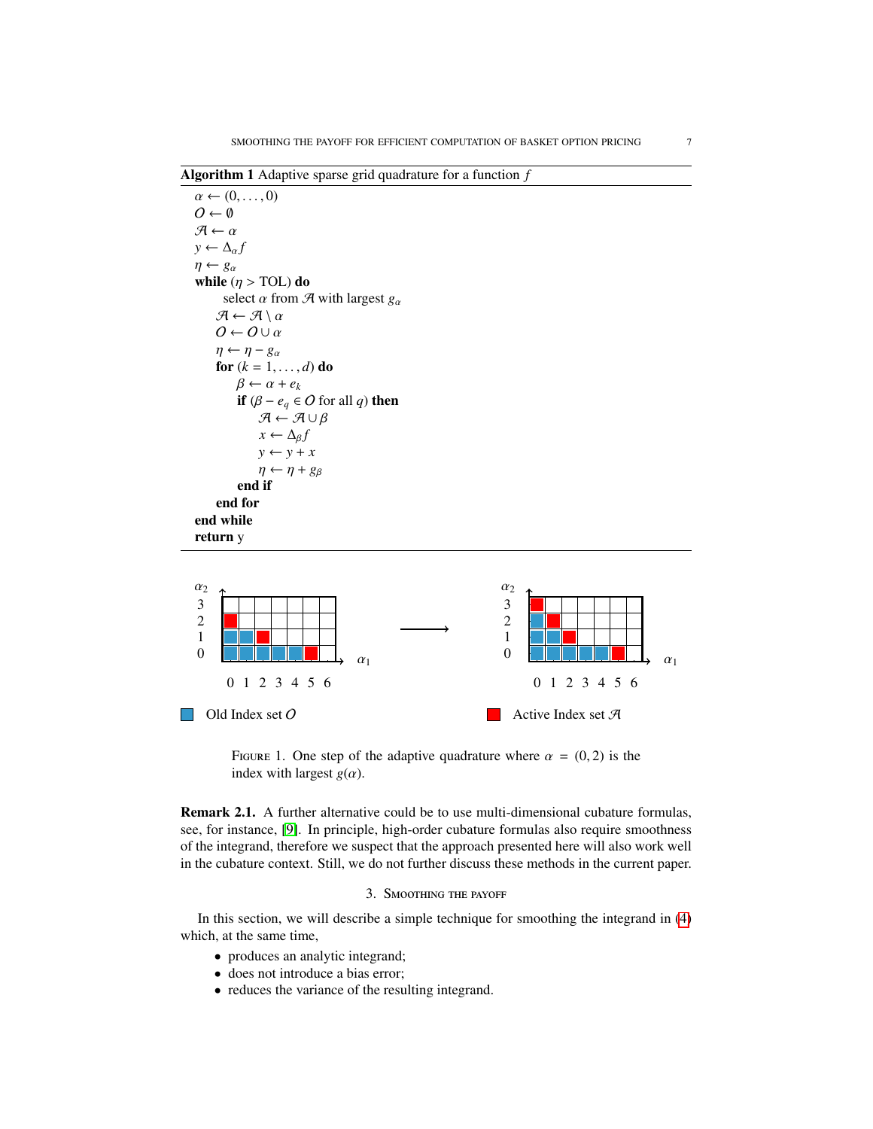<span id="page-6-1"></span>Algorithm 1 Adaptive sparse grid quadrature for a function *f*



<span id="page-6-2"></span>FIGURE 1. One step of the adaptive quadrature where  $\alpha = (0, 2)$  is the index with largest  $g(\alpha)$ .

Remark 2.1. A further alternative could be to use multi-dimensional cubature formulas, see, for instance, [\[9\]](#page-19-23). In principle, high-order cubature formulas also require smoothness of the integrand, therefore we suspect that the approach presented here will also work well in the cubature context. Still, we do not further discuss these methods in the current paper.

# 3. Smoothing the payoff

<span id="page-6-0"></span>In this section, we will describe a simple technique for smoothing the integrand in [\(4\)](#page-3-1) which, at the same time,

- produces an analytic integrand;
- does not introduce a bias error;
- reduces the variance of the resulting integrand.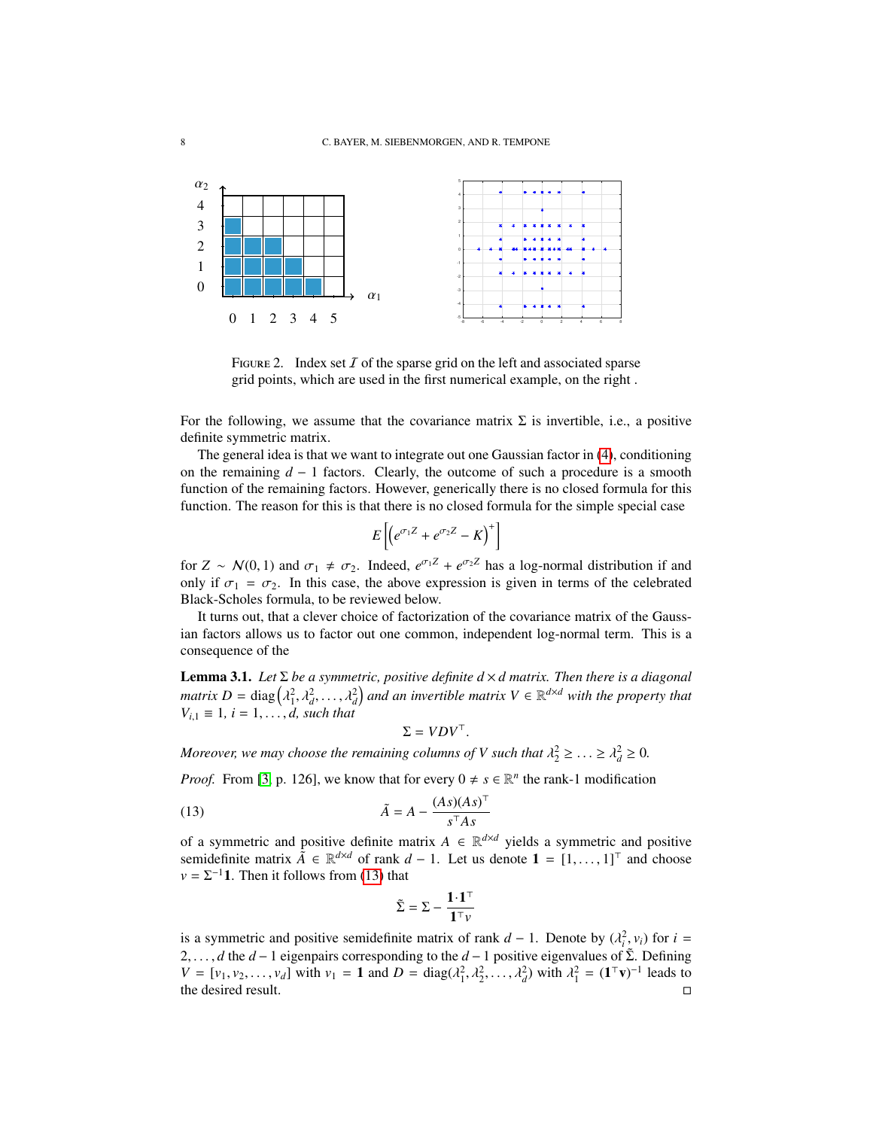

<span id="page-7-1"></span>FIGURE 2. Index set  $I$  of the sparse grid on the left and associated sparse grid points, which are used in the first numerical example, on the right .

For the following, we assume that the covariance matrix  $\Sigma$  is invertible, i.e., a positive definite symmetric matrix.

The general idea is that we want to integrate out one Gaussian factor in [\(4\)](#page-3-1), conditioning on the remaining  $d - 1$  factors. Clearly, the outcome of such a procedure is a smooth function of the remaining factors. However, generically there is no closed formula for this function. The reason for this is that there is no closed formula for the simple special case

$$
E\left[\left(e^{\sigma_1 Z}+e^{\sigma_2 Z}-K\right)^+\right]
$$

for  $Z \sim \mathcal{N}(0, 1)$  and  $\sigma_1 \neq \sigma_2$ . Indeed,  $e^{\sigma_1 Z} + e^{\sigma_2 Z}$  has a log-normal distribution if and only if  $\sigma_1 - \sigma_2$ . In this case, the above expression is given in terms of the celebrated only if  $\sigma_1 = \sigma_2$ . In this case, the above expression is given in terms of the celebrated Black-Scholes formula, to be reviewed below.

It turns out, that a clever choice of factorization of the covariance matrix of the Gaussian factors allows us to factor out one common, independent log-normal term. This is a consequence of the

<span id="page-7-0"></span>Lemma 3.1. *Let* Σ *be a symmetric, positive definite d* × *d matrix. Then there is a diagonal matrix*  $D = \text{diag}(\lambda_1^2, \lambda_2^2, \dots, \lambda_d^2)$  and an invertible matrix  $V \in \mathbb{R}^{d \times d}$  with the property that  $V \cup \{d\}$  such that  $V_{i,1} \equiv 1, i = 1, ..., d$ , such that

<span id="page-7-2"></span>
$$
\Sigma = VDV^\top.
$$

*Moreover, we may choose the remaining columns of V such that*  $\lambda_2^2 \geq \ldots \geq \lambda_d^2 \geq 0$ .

*Proof.* From [\[3,](#page-19-24) p. 126], we know that for every  $0 \neq s \in \mathbb{R}^n$  the rank-1 modification

(13) 
$$
\tilde{A} = A - \frac{(As)(As)^{\top}}{s^{\top}As}
$$

of a symmetric and positive definite matrix  $A \in \mathbb{R}^{d \times d}$  yields a symmetric and positive semidefinite matrix  $\tilde{A} \in \mathbb{R}^{d \times d}$  of rank *d* − 1. Let us denote **1** = [1, ..., 1]<sup>⊤</sup> and choose  $y = \sum_{i=1}^{d} 1$ . Then it follows from (13) that  $v = \Sigma^{-1}$ **1**. Then it follows from [\(13\)](#page-7-2) that

$$
\tilde{\Sigma} = \Sigma - \frac{\mathbf{1} \!\cdot\! \mathbf{1}^\top}{\mathbf{1}^\top \nu}
$$

is a symmetric and positive semidefinite matrix of rank  $d - 1$ . Denote by  $(\lambda_i^2, v_i)$  for  $i =$ <br>2. *d* the *d* − 1 eigennairs corresponding to the *d* − 1 positive eigenvalues of  $\tilde{\Sigma}$ . Defining 2, . . . , *d* the *d* − 1 eigenpairs corresponding to the *d* − 1 positive eigenvalues of Σ<sup>α</sup>. Defining  $V = [v_1, v_2, \dots, v_d]$  with  $v_1 = 1$  and  $D = \text{diag}(\lambda_1^2, \lambda_2^2, \dots, \lambda_d^2)$  with  $\lambda_1^2 = (\mathbf{1}^\top \mathbf{v})^{-1}$  leads to the desired result the desired result.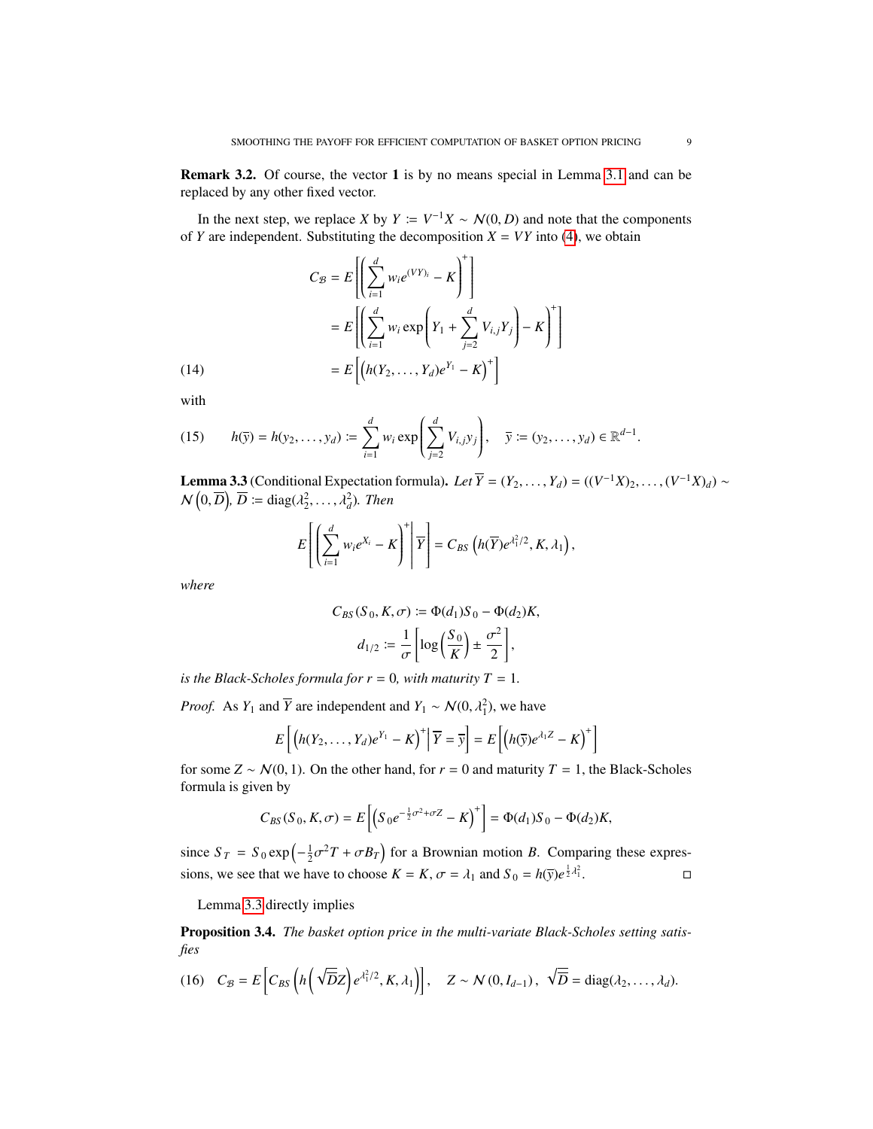<span id="page-8-1"></span>Remark 3.2. Of course, the vector 1 is by no means special in Lemma [3.1](#page-7-0) and can be replaced by any other fixed vector.

In the next step, we replace *X* by  $Y := V^{-1}X \sim N(0, D)$  and note that the components  $Y$  are independent. Substituting the decomposition  $Y = VY$  into (4), we obtain of *Y* are independent. Substituting the decomposition  $X = VY$  into [\(4\)](#page-3-1), we obtain

(14)  
\n
$$
C_{\mathcal{B}} = E\left[\left(\sum_{i=1}^{d} w_i e^{(VY)_i} - K\right)^+\right]
$$
\n
$$
= E\left[\left(\sum_{i=1}^{d} w_i \exp\left(Y_1 + \sum_{j=2}^{d} V_{i,j} Y_j\right) - K\right)^+\right]
$$
\n
$$
= E\left[\left(h(Y_2, \dots, Y_d)e^{Y_1} - K\right)^+\right]
$$

with

<span id="page-8-3"></span>(15) 
$$
h(\bar{y}) = h(y_2, ..., y_d) := \sum_{i=1}^d w_i \exp\left(\sum_{j=2}^d V_{i,j} y_j\right), \quad \bar{y} := (y_2, ..., y_d) \in \mathbb{R}^{d-1}.
$$

<span id="page-8-0"></span>**Lemma 3.3** (Conditional Expectation formula). *Let*  $\overline{Y} = (Y_2, \ldots, Y_d) = ((V^{-1}X)_2, \ldots, (V^{-1}X)_d) \sim$ <br> $N(\Omega, \overline{D}) \cdot \overline{D} := \text{diag}(3^2, \ldots, 3^2)$ . Then  $\mathcal{N}\left(0,\overline{D}\right), \overline{D} \coloneqq \text{diag}(\lambda_2^2,\ldots,\lambda_d^2)$ *. Then* 

$$
E\left[\left(\sum_{i=1}^d w_i e^{X_i} - K\right)^+ \middle| \overline{Y}\right] = C_{BS}\left(h(\overline{Y})e^{\lambda_1^2/2}, K, \lambda_1\right),
$$

*where*

$$
C_{BS}(S_0, K, \sigma) := \Phi(d_1)S_0 - \Phi(d_2)K,
$$
  

$$
d_{1/2} := \frac{1}{\sigma} \left[ \log \left( \frac{S_0}{K} \right) \pm \frac{\sigma^2}{2} \right],
$$

*is the Black-Scholes formula for*  $r = 0$ *, with maturity*  $T = 1$ *.* 

*Proof.* As *Y*<sub>1</sub> and  $\overline{Y}$  are independent and *Y*<sub>1</sub> ~  $\mathcal{N}(0, \lambda_1^2)$ , we have

$$
E\left[\left(h(Y_2,\ldots,Y_d)e^{Y_1}-K\right)^+\middle|\overline{Y}=\overline{y}\right]=E\left[\left(h(\overline{y})e^{\lambda_1Z}-K\right)^+\right]
$$

for some  $Z \sim \mathcal{N}(0, 1)$ . On the other hand, for  $r = 0$  and maturity  $T = 1$ , the Black-Scholes formula is given by

$$
C_{BS}(S_0, K, \sigma) = E\left[\left(S_0 e^{-\frac{1}{2}\sigma^2 + \sigma Z} - K\right)^+\right] = \Phi(d_1)S_0 - \Phi(d_2)K,
$$

since  $S_T = S_0 \exp\left(-\frac{1}{2}\sigma^2 T + \sigma B_T\right)$  for a Brownian motion *B*. Comparing these expressions, we see that we have to choose  $K = K$ ,  $\sigma = \lambda_1$  and  $S_0 = h(\bar{y})e^{\frac{1}{2}\lambda_1^2}$  $\frac{2}{1}$ .

Lemma [3.3](#page-8-0) directly implies

Proposition 3.4. *The basket option price in the multi-variate Black-Scholes setting satisfies*

<span id="page-8-2"></span>(16) 
$$
C_B = E\left[C_{BS}\left(h\left(\sqrt{\overline{D}}Z\right)e^{\lambda_1^2/2}, K, \lambda_1\right)\right], \quad Z \sim \mathcal{N}(0, I_{d-1}), \sqrt{\overline{D}} = \text{diag}(\lambda_2, \dots, \lambda_d).
$$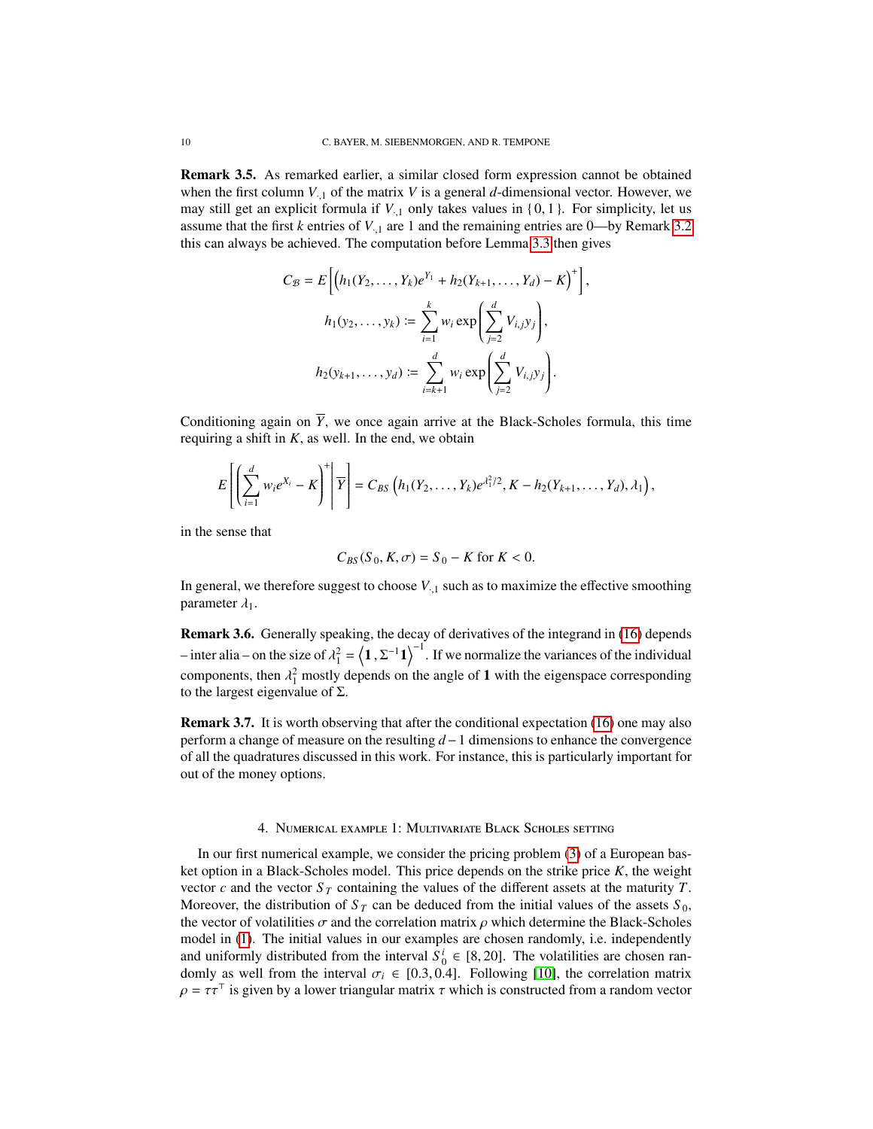<span id="page-9-2"></span>Remark 3.5. As remarked earlier, a similar closed form expression cannot be obtained when the first column  $V_{1}$  of the matrix V is a general  $d$ -dimensional vector. However, we may still get an explicit formula if  $V_{.1}$  only takes values in {0, 1}. For simplicity, let us assume that the first  $k$  entries of  $V_{1,1}$  are 1 and the remaining entries are 0—by Remark [3.2](#page-8-1) this can always be achieved. The computation before Lemma [3.3](#page-8-0) then gives

$$
C_{\mathcal{B}} = E\left[\left(h_1(Y_2, \ldots, Y_k)e^{Y_1} + h_2(Y_{k+1}, \ldots, Y_d) - K\right)^+\right],
$$
  
\n
$$
h_1(y_2, \ldots, y_k) := \sum_{i=1}^k w_i \exp\left(\sum_{j=2}^d V_{i,j}y_j\right),
$$
  
\n
$$
h_2(y_{k+1}, \ldots, y_d) := \sum_{i=k+1}^d w_i \exp\left(\sum_{j=2}^d V_{i,j}y_j\right).
$$

Conditioning again on  $\overline{Y}$ , we once again arrive at the Black-Scholes formula, this time requiring a shift in  $K$ , as well. In the end, we obtain

$$
E\left[\left(\sum_{i=1}^d w_i e^{X_i} - K\right)^+ \middle| \overline{Y}\right] = C_{BS}\left(h_1(Y_2,\ldots,Y_k)e^{\lambda_1^2/2}, K - h_2(Y_{k+1},\ldots,Y_d), \lambda_1\right),
$$

in the sense that

$$
C_{BS}(S_0, K, \sigma) = S_0 - K \text{ for } K < 0.
$$

In general, we therefore suggest to choose  $V_{1,1}$  such as to maximize the effective smoothing parameter  $\lambda_1$ .

<span id="page-9-1"></span>Remark 3.6. Generally speaking, the decay of derivatives of the integrand in [\(16\)](#page-8-2) depends – inter alia – on the size of  $\lambda_1^2 = \langle 1, \Sigma^{-1}1 \rangle^{-1}$ . If we normalize the variances of the individual components, then  $\lambda_1^2$  mostly depends on the angle of 1 with the eigenspace corresponding to the largest eigenvalue of  $\Sigma$ to the largest eigenvalue of  $\Sigma$ .

Remark 3.7. It is worth observing that after the conditional expectation [\(16\)](#page-8-2) one may also perform a change of measure on the resulting *d*−1 dimensions to enhance the convergence of all the quadratures discussed in this work. For instance, this is particularly important for out of the money options.

### 4. Numerical example 1: Multivariate Black Scholes setting

<span id="page-9-0"></span>In our first numerical example, we consider the pricing problem [\(3\)](#page-2-1) of a European basket option in a Black-Scholes model. This price depends on the strike price *K*, the weight vector *c* and the vector  $S_T$  containing the values of the different assets at the maturity *T*. Moreover, the distribution of  $S_T$  can be deduced from the initial values of the assets  $S_0$ , the vector of volatilities  $\sigma$  and the correlation matrix  $\rho$  which determine the Black-Scholes model in [\(1\)](#page-2-0). The initial values in our examples are chosen randomly, i.e. independently and uniformly distributed from the interval  $S_0^i \in [8, 20]$ . The volatilities are chosen ran-<br>domly as well from the interval  $\sigma \in [0, 3, 0, 4]$ . Following [10], the correlation matrix domly as well from the interval  $\sigma_i \in [0.3, 0.4]$ . Following [\[10\]](#page-19-25), the correlation matrix  $\rho = \tau \tau^{\top}$  is given by a lower triangular matrix  $\tau$  which is constructed from a random vector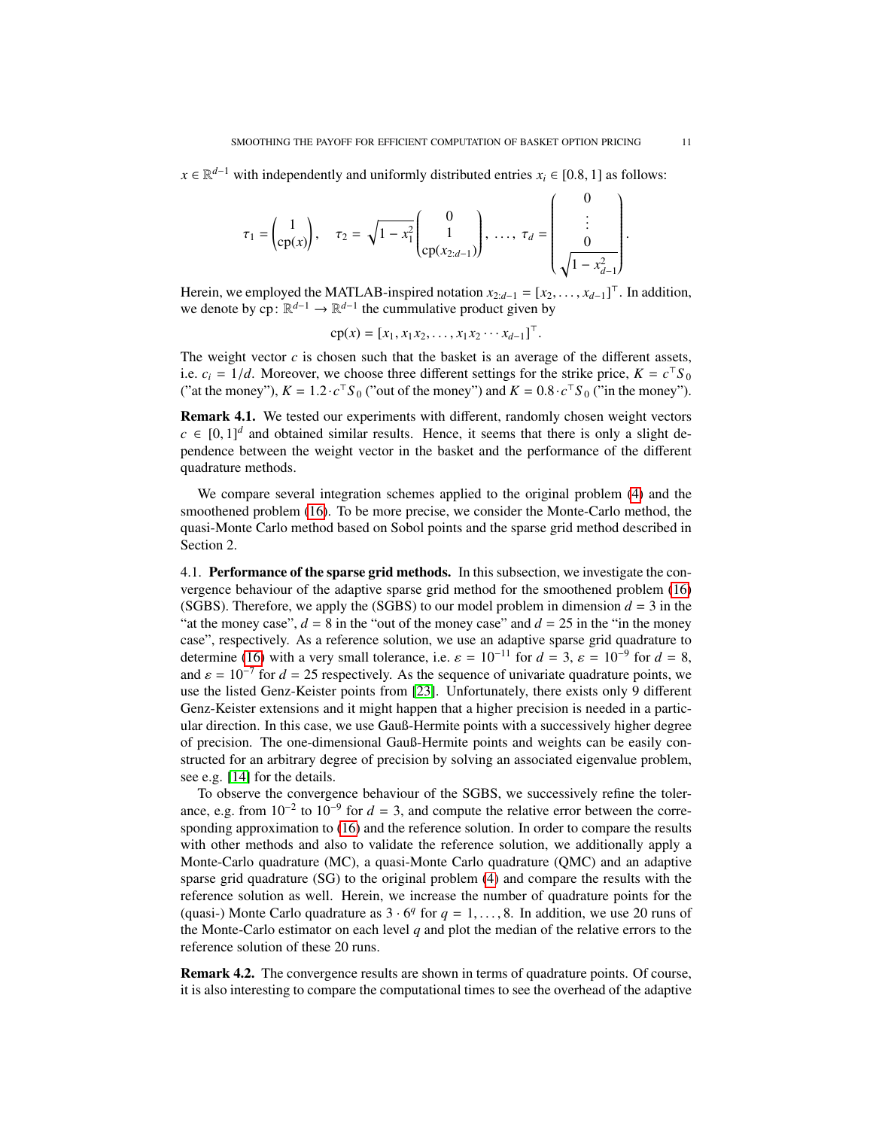*x* ∈  $\mathbb{R}^{d-1}$  with independently and uniformly distributed entries *x<sub>i</sub>* ∈ [0.8, 1] as follows:

$$
\tau_1 = \begin{pmatrix} 1 \\ \cosh(x) \end{pmatrix}, \quad \tau_2 = \sqrt{1 - x_1^2} \begin{pmatrix} 0 \\ 1 \\ \cosh(x_{2:d-1}) \end{pmatrix}, \dots, \tau_d = \begin{pmatrix} 0 \\ \vdots \\ 0 \\ \sqrt{1 - x_{d-1}^2} \end{pmatrix}
$$

Herein, we employed the MATLAB-inspired notation  $x_{2:d-1} = [x_2, \ldots, x_{d-1}]^\top$ . In addition, we denote by  $cn: \mathbb{R}^{d-1} \to \mathbb{R}^{d-1}$  the cummulative product given by we denote by  $\text{cp} : \mathbb{R}^{d-1} \to \mathbb{R}^{d-1}$  the cummulative product given by

$$
cp(x) = [x_1, x_1x_2, ..., x_1x_2...x_{d-1}]^{\top}
$$
.

The weight vector  $c$  is chosen such that the basket is an average of the different assets, i.e.  $c_i = 1/d$ . Moreover, we choose three different settings for the strike price,  $K = c^\top S_0$ <br>
("at the money"),  $K = 1.2$ ,  $c^\top S_0$  ("out of the money") and  $K = 0.8$ ,  $c^\top S_0$  ("in the money") ("at the money"),  $K = 1.2 \cdot c^\top S_0$  ("out of the money") and  $K = 0.8 \cdot c^\top S_0$  ("in the money").

Remark 4.1. We tested our experiments with different, randomly chosen weight vectors  $c \in [0, 1]^d$  and obtained similar results. Hence, it seems that there is only a slight de-<br>pendence between the weight vector in the basket and the performance of the different pendence between the weight vector in the basket and the performance of the different quadrature methods.

We compare several integration schemes applied to the original problem [\(4\)](#page-3-1) and the smoothened problem [\(16\)](#page-8-2). To be more precise, we consider the Monte-Carlo method, the quasi-Monte Carlo method based on Sobol points and the sparse grid method described in Section 2.

4.1. Performance of the sparse grid methods. In this subsection, we investigate the convergence behaviour of the adaptive sparse grid method for the smoothened problem [\(16\)](#page-8-2) (SGBS). Therefore, we apply the (SGBS) to our model problem in dimension  $d = 3$  in the "at the money case",  $d = 8$  in the "out of the money case" and  $d = 25$  in the "in the money" case", respectively. As a reference solution, we use an adaptive sparse grid quadrature to determine [\(16\)](#page-8-2) with a very small tolerance, i.e.  $\varepsilon = 10^{-11}$  for  $d = 3$ ,  $\varepsilon = 10^{-9}$  for  $d = 8$ , and  $\varepsilon = 10^{-7}$  for  $d = 25$  respectively. As the sequence of univariate quadrature points, we and  $\varepsilon = 10^{-7}$  for  $d = 25$  respectively. As the sequence of univariate quadrature points, we use the listed Genz-Keister points from [23]. Unfortunately, there exists only 9 different use the listed Genz-Keister points from [\[23\]](#page-19-26). Unfortunately, there exists only 9 different Genz-Keister extensions and it might happen that a higher precision is needed in a particular direction. In this case, we use Gauß-Hermite points with a successively higher degree of precision. The one-dimensional Gauß-Hermite points and weights can be easily constructed for an arbitrary degree of precision by solving an associated eigenvalue problem, see e.g. [\[14\]](#page-19-27) for the details.

To observe the convergence behaviour of the SGBS, we successively refine the tolerance, e.g. from  $10^{-2}$  to  $10^{-9}$  for  $d = 3$ , and compute the relative error between the corresponding approximation to [\(16\)](#page-8-2) and the reference solution. In order to compare the results with other methods and also to validate the reference solution, we additionally apply a Monte-Carlo quadrature (MC), a quasi-Monte Carlo quadrature (QMC) and an adaptive sparse grid quadrature (SG) to the original problem [\(4\)](#page-3-1) and compare the results with the reference solution as well. Herein, we increase the number of quadrature points for the (quasi-) Monte Carlo quadrature as  $3 \cdot 6^q$  for  $q = 1, \ldots, 8$ . In addition, we use 20 runs of the Monte-Carlo estimator on each level a and plot the median of the relative errors to the the Monte-Carlo estimator on each level *q* and plot the median of the relative errors to the reference solution of these 20 runs.

Remark 4.2. The convergence results are shown in terms of quadrature points. Of course, it is also interesting to compare the computational times to see the overhead of the adaptive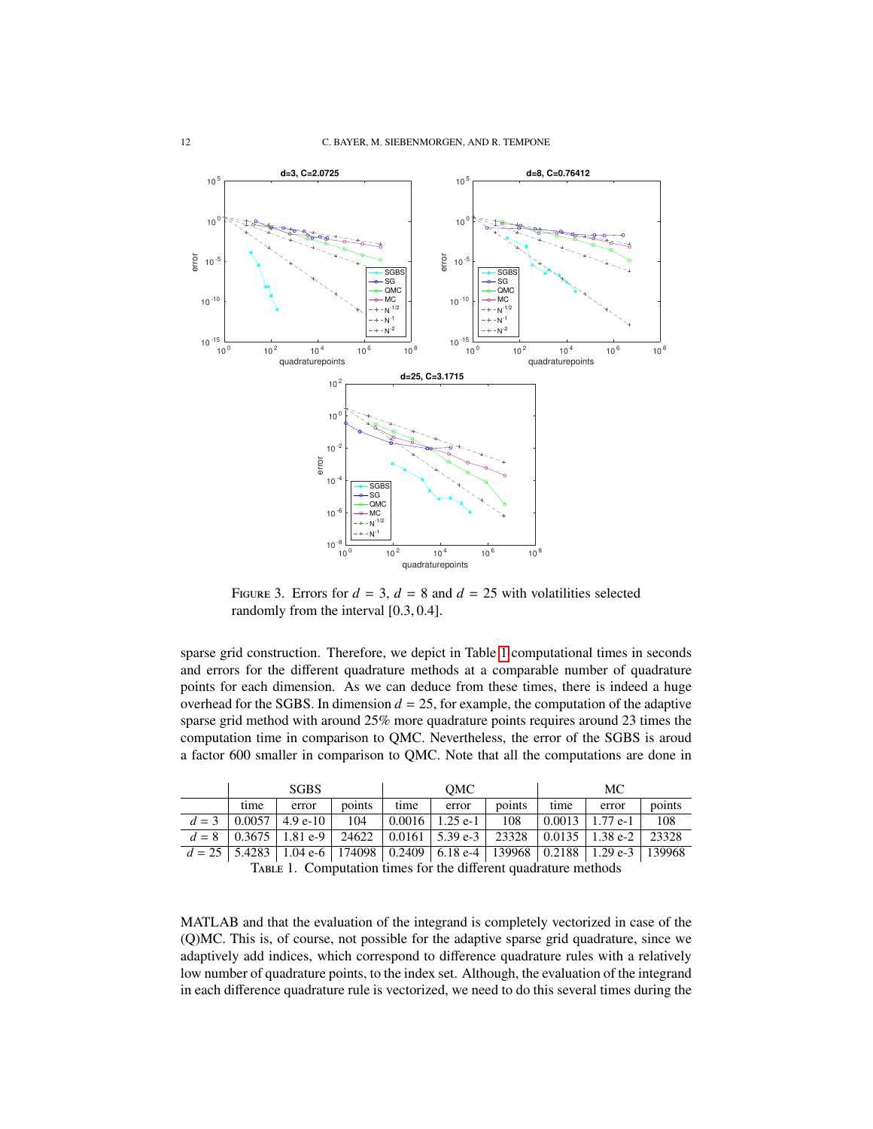

<span id="page-11-1"></span>FIGURE 3. Errors for  $d = 3$ ,  $d = 8$  and  $d = 25$  with volatilities selected randomly from the interval [0.3, <sup>0</sup>.4].

sparse grid construction. Therefore, we depict in Table [1](#page-11-0) computational times in seconds and errors for the different quadrature methods at a comparable number of quadrature points for each dimension. As we can deduce from these times, there is indeed a huge overhead for the SGBS. In dimension  $d = 25$ , for example, the computation of the adaptive sparse grid method with around 25% more quadrature points requires around 23 times the computation time in comparison to QMC. Nevertheless, the error of the SGBS is aroud a factor 600 smaller in comparison to QMC. Note that all the computations are done in

| <b>SGBS</b> |                                                                                                 |        | OMC  |                                       |        | MC.  |                     |        |
|-------------|-------------------------------------------------------------------------------------------------|--------|------|---------------------------------------|--------|------|---------------------|--------|
| time        | error                                                                                           | points | time | error                                 | points | time | error               | points |
|             | $d = 3 \cdot 0.0057 \cdot 4.9$ e-10                                                             | 104    |      | $\vert 0.0016 \vert 1.25$ e-1 $\vert$ | 108    |      | $0.0013$   1.77 e-1 | 108    |
|             | $d = 8$   0.3675   1.81 e-9   24622   0.0161   5.39 e-3   23328   0.0135   1.38 e-2   23328     |        |      |                                       |        |      |                     |        |
|             | $d = 25$   5.4283   1.04 e-6   174098   0.2409   6.18 e-4   139968   0.2188   1.29 e-3   139968 |        |      |                                       |        |      |                     |        |

<span id="page-11-0"></span>TABLE 1. Computation times for the different quadrature methods

MATLAB and that the evaluation of the integrand is completely vectorized in case of the (Q)MC. This is, of course, not possible for the adaptive sparse grid quadrature, since we adaptively add indices, which correspond to difference quadrature rules with a relatively low number of quadrature points, to the index set. Although, the evaluation of the integrand in each difference quadrature rule is vectorized, we need to do this several times during the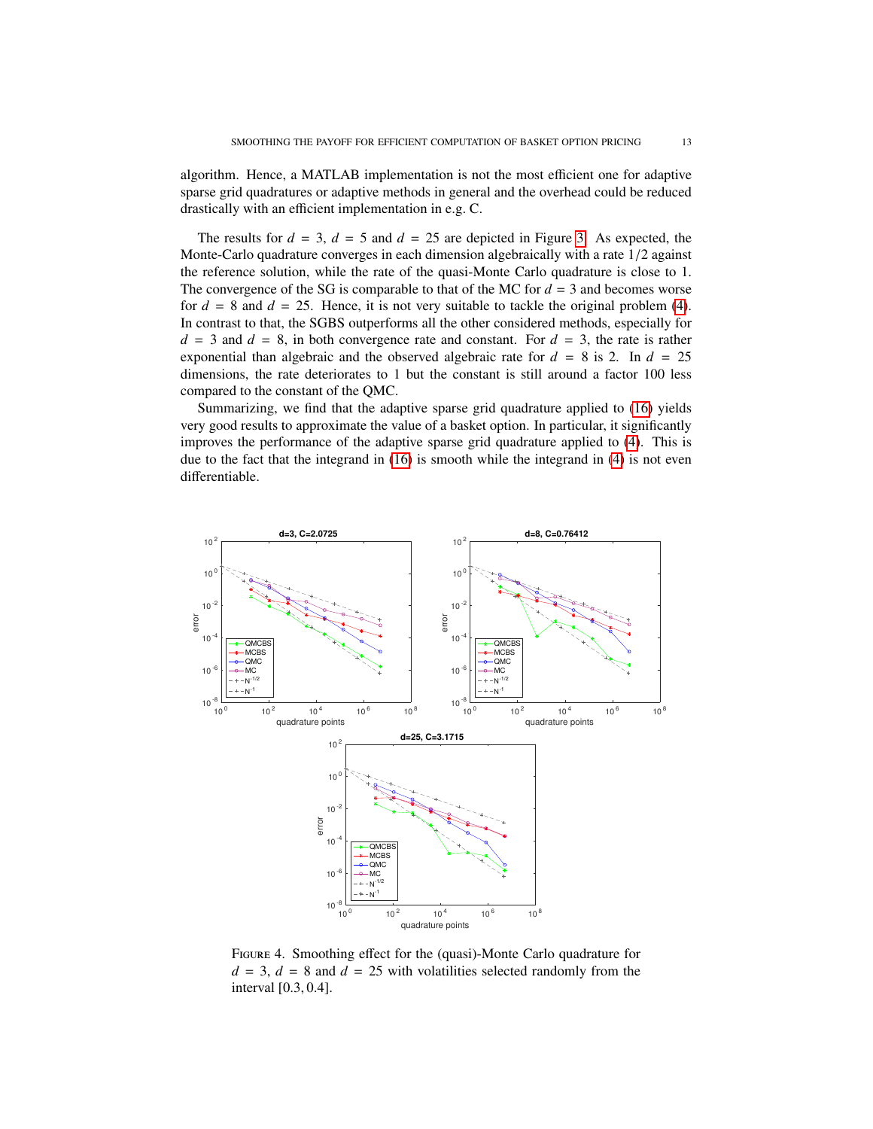algorithm. Hence, a MATLAB implementation is not the most efficient one for adaptive sparse grid quadratures or adaptive methods in general and the overhead could be reduced drastically with an efficient implementation in e.g. C.

The results for  $d = 3$ ,  $d = 5$  and  $d = 25$  are depicted in Figure [3.](#page-11-1) As expected, the Monte-Carlo quadrature converges in each dimension algebraically with a rate 1/2 against the reference solution, while the rate of the quasi-Monte Carlo quadrature is close to 1. The convergence of the SG is comparable to that of the MC for  $d = 3$  and becomes worse for  $d = 8$  and  $d = 25$ . Hence, it is not very suitable to tackle the original problem [\(4\)](#page-3-1). In contrast to that, the SGBS outperforms all the other considered methods, especially for  $d = 3$  and  $d = 8$ , in both convergence rate and constant. For  $d = 3$ , the rate is rather exponential than algebraic and the observed algebraic rate for  $d = 8$  is 2. In  $d = 25$ dimensions, the rate deteriorates to 1 but the constant is still around a factor 100 less compared to the constant of the QMC.

Summarizing, we find that the adaptive sparse grid quadrature applied to [\(16\)](#page-8-2) yields very good results to approximate the value of a basket option. In particular, it significantly improves the performance of the adaptive sparse grid quadrature applied to [\(4\)](#page-3-1). This is due to the fact that the integrand in [\(16\)](#page-8-2) is smooth while the integrand in [\(4\)](#page-3-1) is not even differentiable.



<span id="page-12-0"></span>Figure 4. Smoothing effect for the (quasi)-Monte Carlo quadrature for  $d = 3$ ,  $d = 8$  and  $d = 25$  with volatilities selected randomly from the interval [0.3, <sup>0</sup>.4].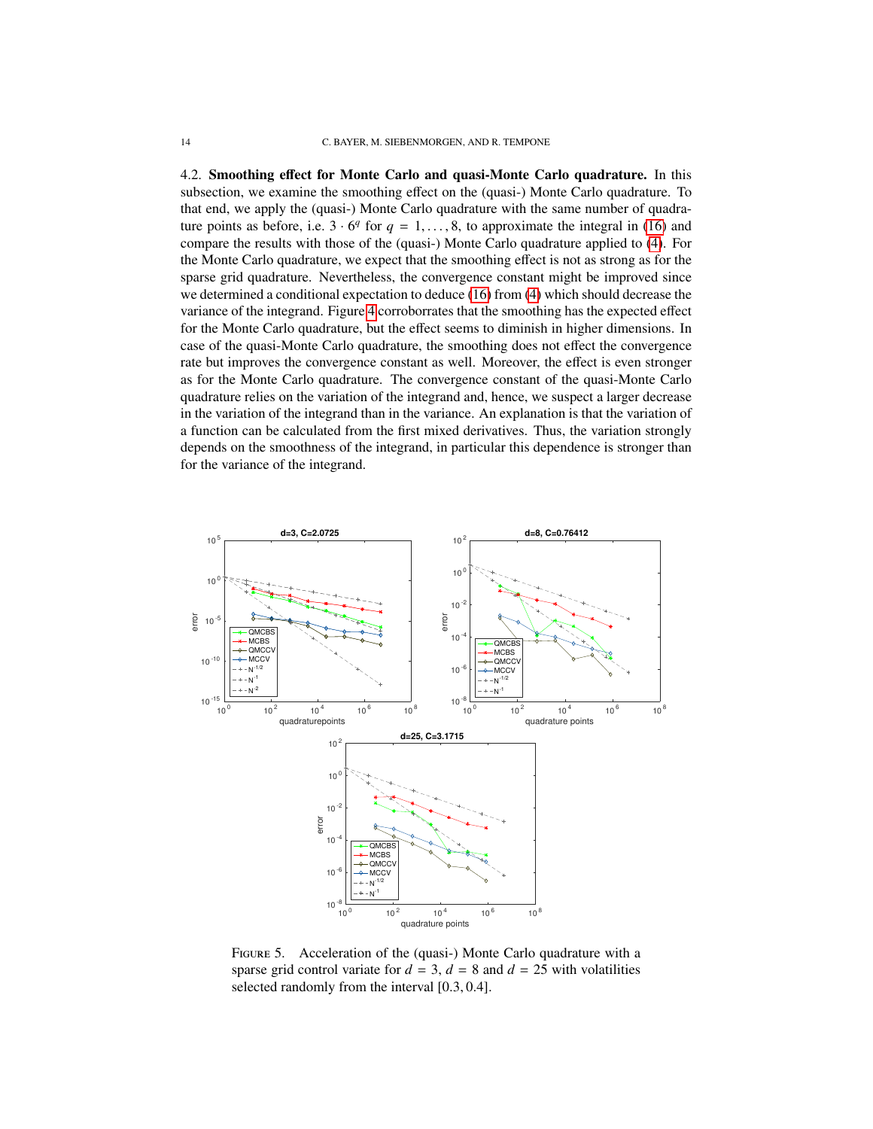4.2. Smoothing effect for Monte Carlo and quasi-Monte Carlo quadrature. In this subsection, we examine the smoothing effect on the (quasi-) Monte Carlo quadrature. To that end, we apply the (quasi-) Monte Carlo quadrature with the same number of quadrature points as before, i.e.  $3 \cdot 6^q$  for  $q = 1, \ldots, 8$ , to approximate the integral in [\(16\)](#page-8-2) and compare the results with those of the (quasi-) Monte Carlo quadrature applied to (4). For compare the results with those of the (quasi-) Monte Carlo quadrature applied to [\(4\)](#page-3-1). For the Monte Carlo quadrature, we expect that the smoothing effect is not as strong as for the sparse grid quadrature. Nevertheless, the convergence constant might be improved since we determined a conditional expectation to deduce [\(16\)](#page-8-2) from [\(4\)](#page-3-1) which should decrease the variance of the integrand. Figure [4](#page-12-0) corroborrates that the smoothing has the expected effect for the Monte Carlo quadrature, but the effect seems to diminish in higher dimensions. In case of the quasi-Monte Carlo quadrature, the smoothing does not effect the convergence rate but improves the convergence constant as well. Moreover, the effect is even stronger as for the Monte Carlo quadrature. The convergence constant of the quasi-Monte Carlo quadrature relies on the variation of the integrand and, hence, we suspect a larger decrease in the variation of the integrand than in the variance. An explanation is that the variation of a function can be calculated from the first mixed derivatives. Thus, the variation strongly depends on the smoothness of the integrand, in particular this dependence is stronger than for the variance of the integrand.



<span id="page-13-0"></span>FIGURE 5. Acceleration of the (quasi-) Monte Carlo quadrature with a sparse grid control variate for  $d = 3$ ,  $d = 8$  and  $d = 25$  with volatilities selected randomly from the interval [0.3, <sup>0</sup>.4].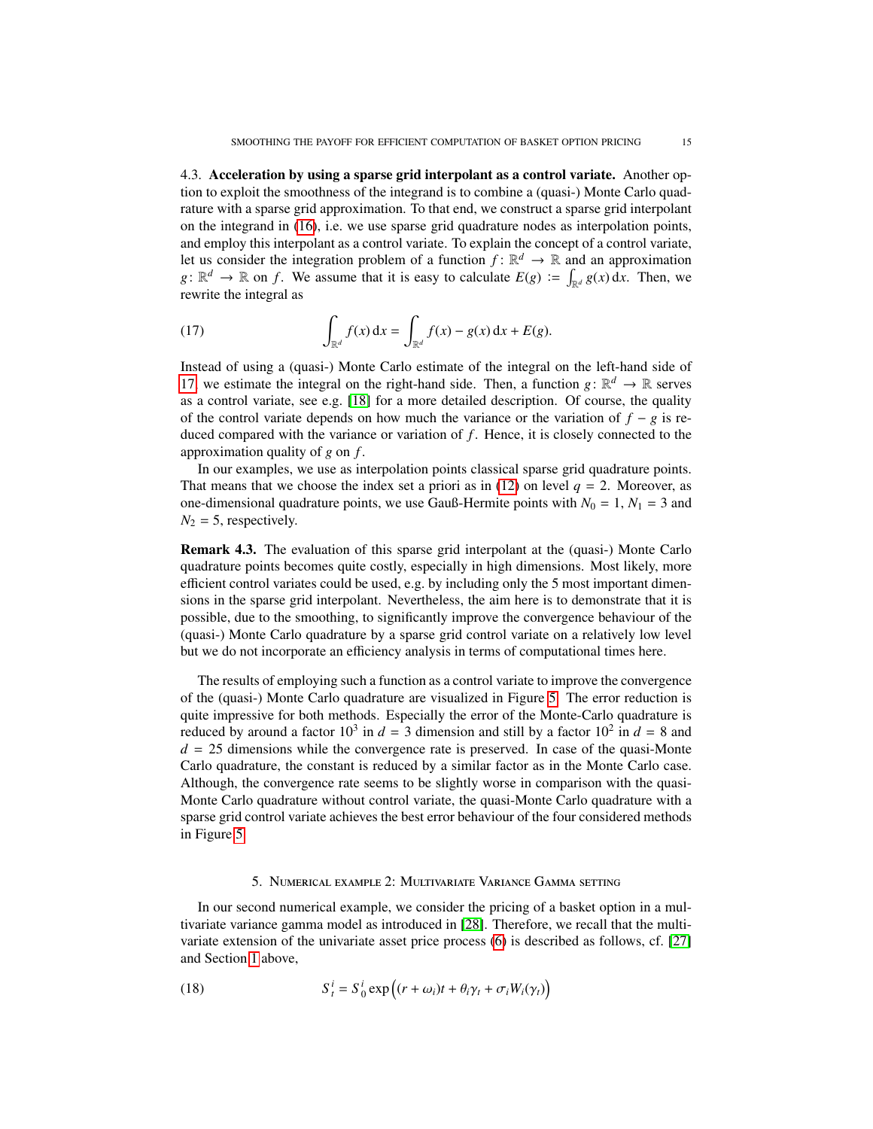4.3. Acceleration by using a sparse grid interpolant as a control variate. Another option to exploit the smoothness of the integrand is to combine a (quasi-) Monte Carlo quadrature with a sparse grid approximation. To that end, we construct a sparse grid interpolant on the integrand in [\(16\)](#page-8-2), i.e. we use sparse grid quadrature nodes as interpolation points, and employ this interpolant as a control variate. To explain the concept of a control variate, let us consider the integration problem of a function  $f: \mathbb{R}^d \to \mathbb{R}$  and an approximation  $g: \mathbb{R}^d \to \mathbb{R}$  on *f*. We assume that it is easy to calculate  $E(g) := \int_{\mathbb{R}^d} g(x) dx$ . Then, we rewrite the integral as

<span id="page-14-1"></span>(17) 
$$
\int_{\mathbb{R}^d} f(x) dx = \int_{\mathbb{R}^d} f(x) - g(x) dx + E(g).
$$

Instead of using a (quasi-) Monte Carlo estimate of the integral on the left-hand side of [17,](#page-14-1) we estimate the integral on the right-hand side. Then, a function  $g: \mathbb{R}^d \to \mathbb{R}$  serves as a control variate, see e.g. [\[18\]](#page-19-28) for a more detailed description. Of course, the quality of the control variate depends on how much the variance or the variation of  $f - g$  is reduced compared with the variance or variation of *f* . Hence, it is closely connected to the approximation quality of *g* on *f* .

In our examples, we use as interpolation points classical sparse grid quadrature points. That means that we choose the index set a priori as in  $(12)$  on level  $q = 2$ . Moreover, as one-dimensional quadrature points, we use Gauß-Hermite points with  $N_0 = 1$ ,  $N_1 = 3$  and  $N_2 = 5$ , respectively.

Remark 4.3. The evaluation of this sparse grid interpolant at the (quasi-) Monte Carlo quadrature points becomes quite costly, especially in high dimensions. Most likely, more efficient control variates could be used, e.g. by including only the 5 most important dimensions in the sparse grid interpolant. Nevertheless, the aim here is to demonstrate that it is possible, due to the smoothing, to significantly improve the convergence behaviour of the (quasi-) Monte Carlo quadrature by a sparse grid control variate on a relatively low level but we do not incorporate an efficiency analysis in terms of computational times here.

The results of employing such a function as a control variate to improve the convergence of the (quasi-) Monte Carlo quadrature are visualized in Figure [5.](#page-13-0) The error reduction is quite impressive for both methods. Especially the error of the Monte-Carlo quadrature is reduced by around a factor  $10^3$  in  $d = 3$  dimension and still by a factor  $10^2$  in  $d = 8$  and  $d = 25$  dimensions while the convergence rate is preserved. In case of the quasi-Monte Carlo quadrature, the constant is reduced by a similar factor as in the Monte Carlo case. Although, the convergence rate seems to be slightly worse in comparison with the quasi-Monte Carlo quadrature without control variate, the quasi-Monte Carlo quadrature with a sparse grid control variate achieves the best error behaviour of the four considered methods in Figure [5.](#page-13-0)

## <span id="page-14-2"></span>5. Numerical example 2: Multivariate Variance Gamma setting

<span id="page-14-0"></span>In our second numerical example, we consider the pricing of a basket option in a multivariate variance gamma model as introduced in [\[28\]](#page-19-29). Therefore, we recall that the multivariate extension of the univariate asset price process [\(6\)](#page-3-3) is described as follows, cf. [\[27\]](#page-19-17) and Section [1](#page-0-0) above,

(18) 
$$
S_t^i = S_0^i \exp((r + \omega_i)t + \theta_i \gamma_t + \sigma_i W_i(\gamma_t))
$$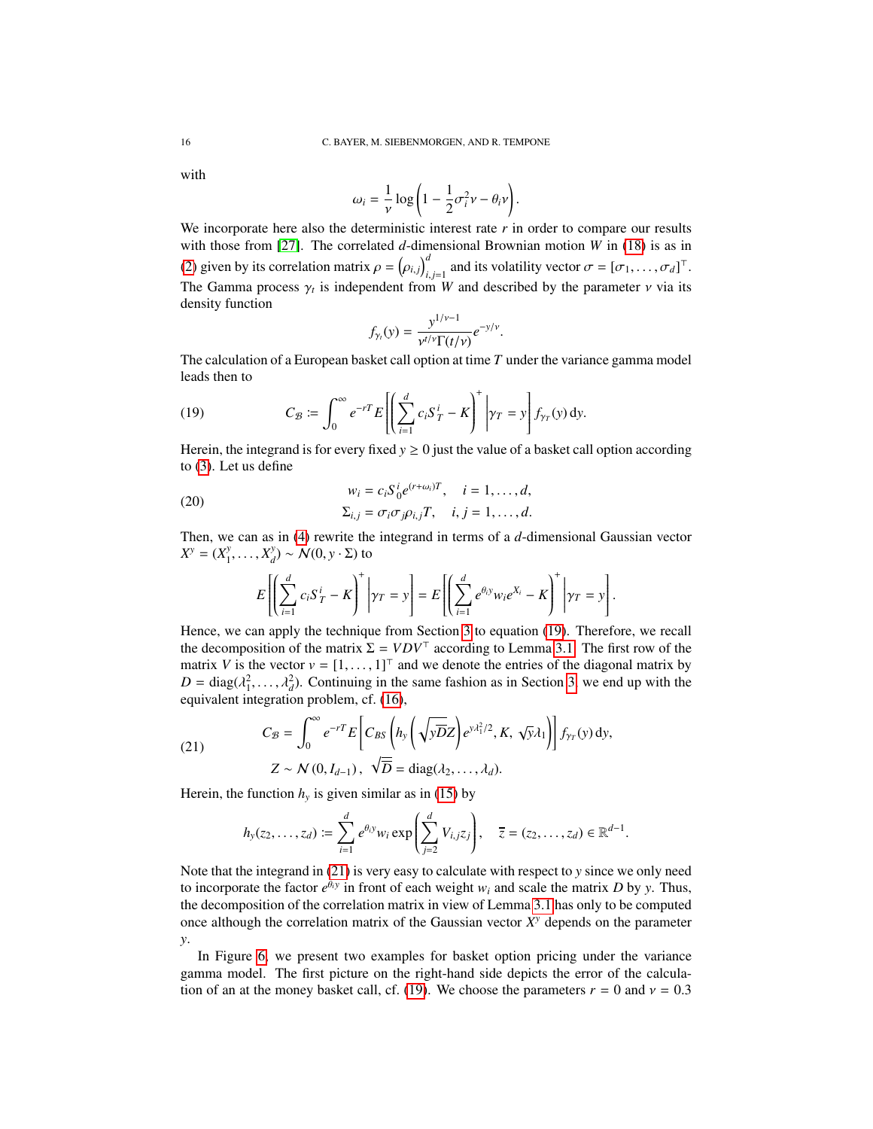with

$$
\omega_i = \frac{1}{\nu} \log \left( 1 - \frac{1}{2} \sigma_i^2 \nu - \theta_i \nu \right).
$$

We incorporate here also the deterministic interest rate  $\overrightarrow{r}$  in order to compare our results with those from [\[27\]](#page-19-17). The correlated *d*-dimensional Brownian motion *W* in [\(18\)](#page-14-2) is as in [\(2\)](#page-2-2) given by its correlation matrix  $\rho = (\rho_{i,j})$ <br>**The General matrix is independent for**  $\int_{i,j=1}^{d}$  and its volatility vector  $\sigma = [\sigma_1, \dots, \sigma_d]^\top$ . The Gamma process  $\gamma_t$  is independent from *W* and described by the parameter *ν* via its density function density function

$$
f_{\gamma_t}(y) = \frac{y^{1/\nu - 1}}{\nu^{t/\nu} \Gamma(t/\nu)} e^{-y/\nu}
$$

 $y_t(y) = \frac{y_t}{y_t - \gamma}$  The calculation of a European basket call option at time *T* under the variance gamma model leads then to

<span id="page-15-0"></span>(19) 
$$
C_{\mathcal{B}} \coloneqq \int_0^{\infty} e^{-rT} E\left[\left(\sum_{i=1}^d c_i S_T^i - K\right)^+ \middle| \gamma_T = y\right] f_{\gamma_T}(y) \, dy.
$$

Herein, the integrand is for every fixed  $y \ge 0$  just the value of a basket call option according to [\(3\)](#page-2-1). Let us define

(20)  

$$
w_i = c_i S_0^i e^{(r+\omega_i)T}, \quad i = 1, \dots, d,
$$

$$
\Sigma_{i,j} = \sigma_i \sigma_j \rho_{i,j} T, \quad i, j = 1, \dots, d.
$$

Then, we can as in [\(4\)](#page-3-1) rewrite the integrand in terms of a *d*-dimensional Gaussian vector  $X^y = (X_1^y)$  $X_1^y, \ldots, X_d^y$  $\binom{y}{d}$  ∼  $\mathcal{N}(0, y \cdot \Sigma)$  to

$$
E\left[\left(\sum_{i=1}^d c_i S_T^i - K\right)^+ \middle| \gamma_T = y\right] = E\left[\left(\sum_{i=1}^d e^{\theta_i y} w_i e^{X_i} - K\right)^+ \middle| \gamma_T = y\right].
$$

Hence, we can apply the technique from Section [3](#page-6-0) to equation [\(19\)](#page-15-0). Therefore, we recall the decomposition of the matrix  $\Sigma = VDV^{\top}$  according to Lemma [3.1.](#page-7-0) The first row of the matrix *V* is the vector  $v = [1, \dots, 1]^T$  and we denote the entries of the diagonal matrix by  $D = \text{diag}(\lambda_1^2, \dots, \lambda_d^2)$ . Continuing in the same fashion as in Section [3,](#page-6-0) we end up with the equivalent integration problem of (16) equivalent integration problem, cf. [\(16\)](#page-8-2),

(21) 
$$
C_{\mathcal{B}} = \int_0^{\infty} e^{-rT} E\left[C_{\mathcal{B}S}\left(h_y\left(\sqrt{\mathbf{yD}}Z\right)e^{y\lambda_1^2/2}, K, \sqrt{\mathbf{y}}\lambda_1\right)\right] f_{\gamma_T}(y) dy, Z \sim N(0, I_{d-1}), \quad \sqrt{D} = \text{diag}(\lambda_2, \dots, \lambda_d).
$$

Herein, the function  $h<sub>y</sub>$  is given similar as in [\(15\)](#page-8-3) by

<span id="page-15-1"></span>
$$
h_y(z_2,\ldots,z_d) \coloneqq \sum_{i=1}^d e^{\theta_i y} w_i \exp\left(\sum_{j=2}^d V_{i,j} z_j\right), \quad \overline{z} = (z_2,\ldots,z_d) \in \mathbb{R}^{d-1}.
$$

Note that the integrand in [\(21\)](#page-15-1) is very easy to calculate with respect to *y* since we only need to incorporate the factor  $e^{\theta_i y}$  in front of each weight  $w_i$  and scale the matrix *D* by *y*. Thus, the decomposition of the correlation matrix in view of Lemma [3.1](#page-7-0) has only to be computed once although the correlation matrix of the Gaussian vector  $X<sup>y</sup>$  depends on the parameter *y*.

In Figure [6,](#page-16-0) we present two examples for basket option pricing under the variance gamma model. The first picture on the right-hand side depicts the error of the calcula-tion of an at the money basket call, cf. [\(19\)](#page-15-0). We choose the parameters  $r = 0$  and  $v = 0.3$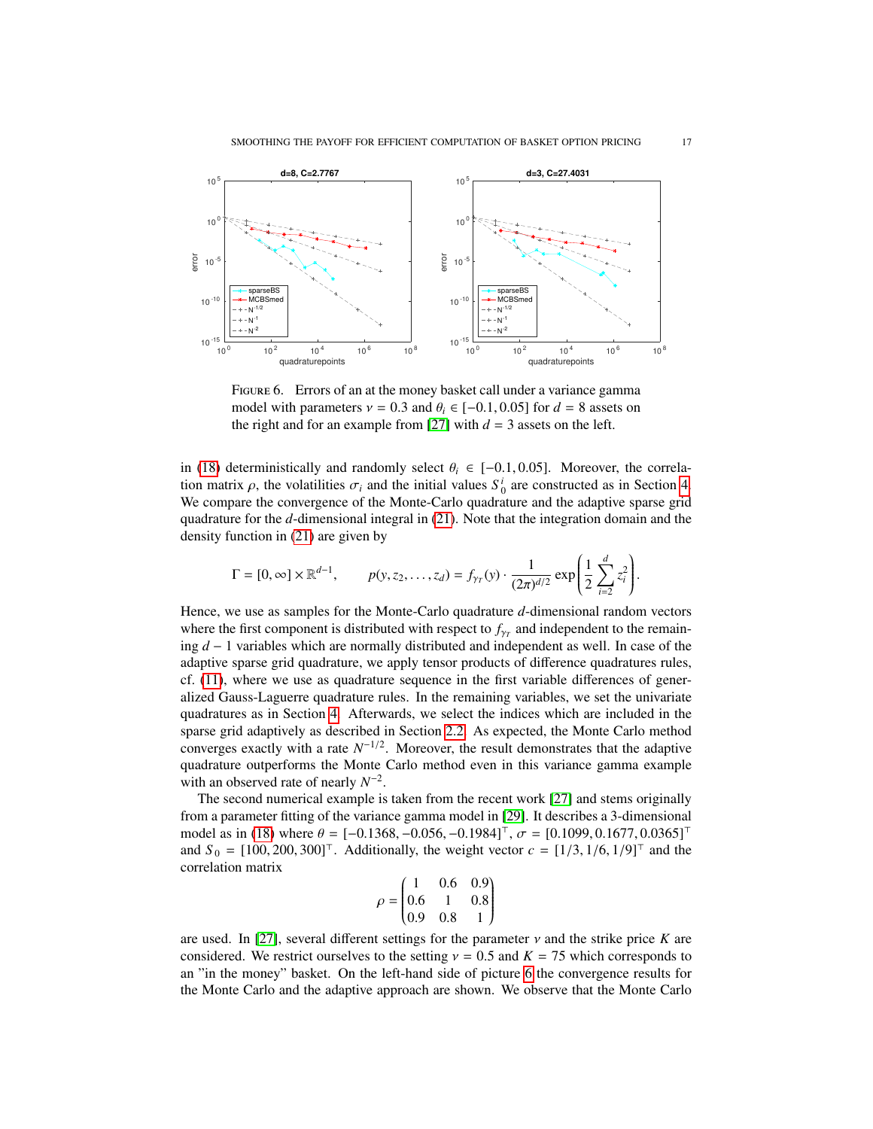

<span id="page-16-0"></span>FIGURE 6. Errors of an at the money basket call under a variance gamma model with parameters  $v = 0.3$  and  $\theta_i \in [-0.1, 0.05]$  for  $d = 8$  assets on the right and for an example from [\[27\]](#page-19-17) with  $d = 3$  assets on the left.

in [\(18\)](#page-14-2) deterministically and randomly select  $\theta_i \in [-0.1, 0.05]$ . Moreover, the correlation matrix  $\rho$ , the volatilities  $\sigma_i$  and the initial values  $S_0^i$  are constructed as in Section [4.](#page-9-0)<br>We compare the convergence of the Monte-Carlo quadrature and the adaptive sparse grid We compare the convergence of the Monte-Carlo quadrature and the adaptive sparse grid quadrature for the *d*-dimensional integral in [\(21\)](#page-15-1). Note that the integration domain and the density function in [\(21\)](#page-15-1) are given by

$$
\Gamma = [0, \infty] \times \mathbb{R}^{d-1}, \qquad p(y, z_2, \dots, z_d) = f_{\gamma_T}(y) \cdot \frac{1}{(2\pi)^{d/2}} \exp\left(\frac{1}{2} \sum_{i=2}^d z_i^2\right)
$$

Hence, we use as samples for the Monte-Carlo quadrature *d*-dimensional random vectors where the first component is distributed with respect to  $f_{\gamma_T}$  and independent to the remain-<br>ine  $d_{\gamma}$ , and independent so well. In esse of the ing *d* − 1 variables which are normally distributed and independent as well. In case of the adaptive sparse grid quadrature, we apply tensor products of difference quadratures rules, cf. [\(11\)](#page-5-0), where we use as quadrature sequence in the first variable differences of generalized Gauss-Laguerre quadrature rules. In the remaining variables, we set the univariate quadratures as in Section [4.](#page-9-0) Afterwards, we select the indices which are included in the sparse grid adaptively as described in Section [2.2.](#page-4-3) As expected, the Monte Carlo method converges exactly with a rate  $N^{-1/2}$ . Moreover, the result demonstrates that the adaptive quadrature outperforms the Monte Carlo method even in this variance gamma example with an observed rate of nearly  $N^{-2}$ .

The second numerical example is taken from the recent work [\[27\]](#page-19-17) and stems originally from a parameter fitting of the variance gamma model in [\[29\]](#page-19-16). It describes a 3-dimensional model as in [\(18\)](#page-14-2) where  $\theta = [-0.1368, -0.056, -0.1984]^\top$ ,  $\sigma = [0.1099, 0.1677, 0.0365]^\top$ and  $S_0 = [100, 200, 300]^\top$ . Additionally, the weight vector  $c = [1/3, 1/6, 1/9]^\top$  and the correlation matrix

$$
\rho = \begin{pmatrix} 1 & 0.6 & 0.9 \\ 0.6 & 1 & 0.8 \\ 0.9 & 0.8 & 1 \end{pmatrix}
$$

are used. In [\[27\]](#page-19-17), several different settings for the parameter  $\nu$  and the strike price *K* are considered. We restrict ourselves to the setting  $\nu = 0.5$  and  $K = 75$  which corresponds to considered. We restrict ourselves to the setting  $v = 0.5$  and  $K = 75$  which corresponds to an "in the money" basket. On the left-hand side of picture [6](#page-16-0) the convergence results for the Monte Carlo and the adaptive approach are shown. We observe that the Monte Carlo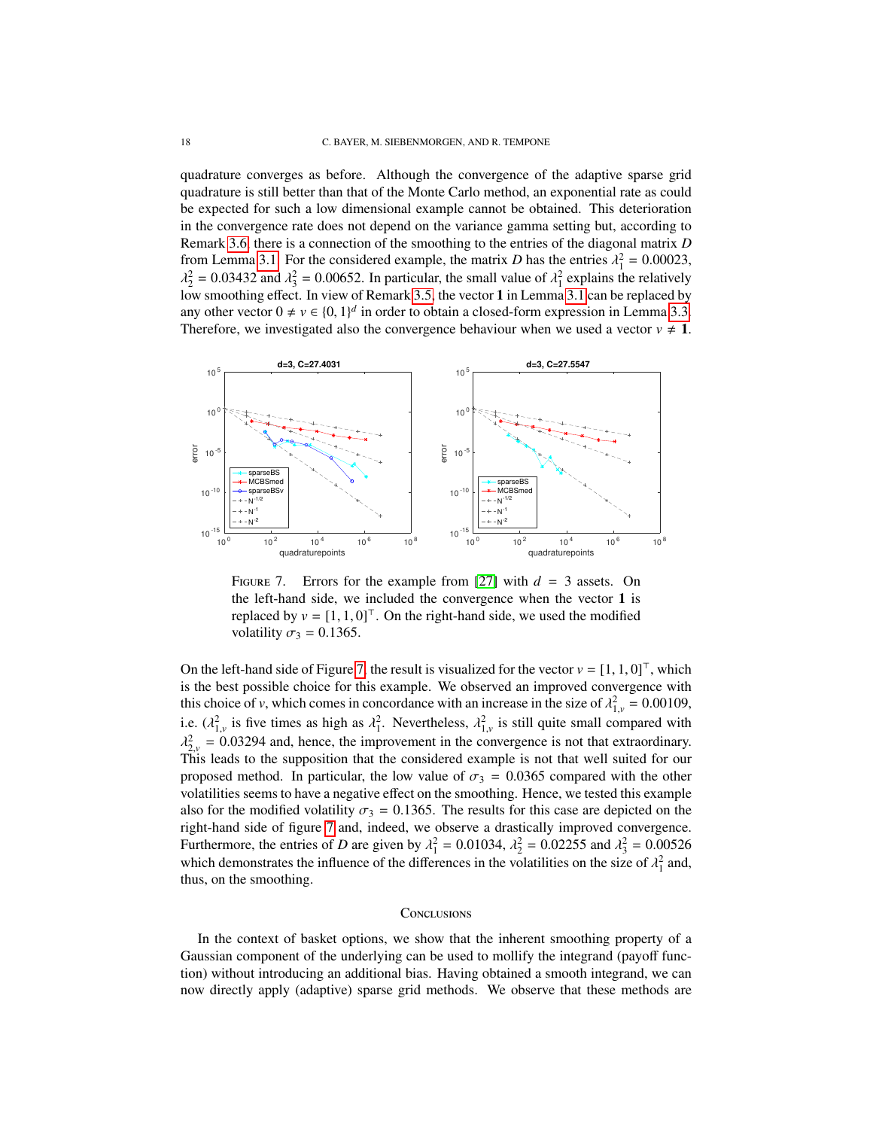quadrature converges as before. Although the convergence of the adaptive sparse grid quadrature is still better than that of the Monte Carlo method, an exponential rate as could be expected for such a low dimensional example cannot be obtained. This deterioration in the convergence rate does not depend on the variance gamma setting but, according to Remark [3.6,](#page-9-1) there is a connection of the smoothing to the entries of the diagonal matrix *D* from Lemma [3.1.](#page-7-0) For the considered example, the matrix *D* has the entries  $\lambda_1^2 = 0.00023$ ,<br> $\lambda_1^2 = 0.03432$  and  $\lambda_1^2 = 0.00652$ . In particular, the small value of  $\lambda_1^2$  explains the relatively  $\frac{1}{2}$  and the matrix  $\frac{1}{3}$  are seen to the planetating, the statistic calculation of  $\frac{1}{2}$  in Lemma [3.1](#page-7-0) can be replaced by  $\lambda_2^2 = 0.03432$  and  $\lambda_3^2 = 0.00652$ . In particular, the small value of  $\lambda_1^2$  explains the relatively  $\lambda_2$  we smoothing effect. In view of Remark 3.5, the vector 1 in Lemma 3.1 can be replaced by any other vector  $0 \neq v \in \{0, 1\}^d$  in order to obtain a closed-form expression in Lemma [3.3.](#page-8-0)<br>Therefore, we investigated also the convergence behaviour when we used a vector  $v \neq 1$ . Therefore, we investigated also the convergence behaviour when we used a vector  $v \neq 1$ .



<span id="page-17-0"></span>FIGURE 7. Errors for the example from [\[27\]](#page-19-17) with  $d = 3$  assets. On the left-hand side, we included the convergence when the vector 1 is replaced by  $v = [1, 1, 0]^\top$ . On the right-hand side, we used the modified volatility  $\sigma_3 = 0.1365$ .

On the left-hand side of Figure [7,](#page-17-0) the result is visualized for the vector  $v = [1, 1, 0]^\top$ , which is the best possible choice for this example. We observed an improved convergence with this choice of *v*, which comes in concordance with an increase in the size of  $\lambda_{1,v}^2 = 0.00109$ , 1,*v* i.e.  $(\lambda_{1,v}^2)$  is five times as high as  $\lambda_1^2$ . Nevertheless,  $\lambda_{1,v}^2$  is still quite small compared with  $\lambda_1^2$  = 0.02304 and hance the improvement in the convergence is not that autocontinum  $\lambda_{2,v}$  = 0.05254 and, nence, the improvement in the convergence is not that extraordinary.<br>This leads to the supposition that the considered example is not that well suited for our  $\frac{2}{2\nu} = 0.03294$  and, hence, the improvement in the convergence is not that extraordinary. proposed method. In particular, the low value of  $\sigma_3 = 0.0365$  compared with the other volatilities seems to have a negative effect on the smoothing. Hence, we tested this example also for the modified volatility  $\sigma_3 = 0.1365$ . The results for this case are depicted on the right-hand side of figure [7](#page-17-0) and, indeed, we observe a drastically improved convergence. Furthermore, the entries of *D* are given by  $\lambda_1^2 = 0.01034$ ,  $\lambda_2^2 = 0.02255$  and  $\lambda_3^2 = 0.00526$ <br>which demonstrates the influence of the differences in the volatilities on the size of  $\lambda_2^2$  and which demonstrates the influence of the differences in the volatilities on the size of  $\lambda_1^2$  and, thus on the smoothing thus, on the smoothing.

### **CONCLUSIONS**

In the context of basket options, we show that the inherent smoothing property of a Gaussian component of the underlying can be used to mollify the integrand (payoff function) without introducing an additional bias. Having obtained a smooth integrand, we can now directly apply (adaptive) sparse grid methods. We observe that these methods are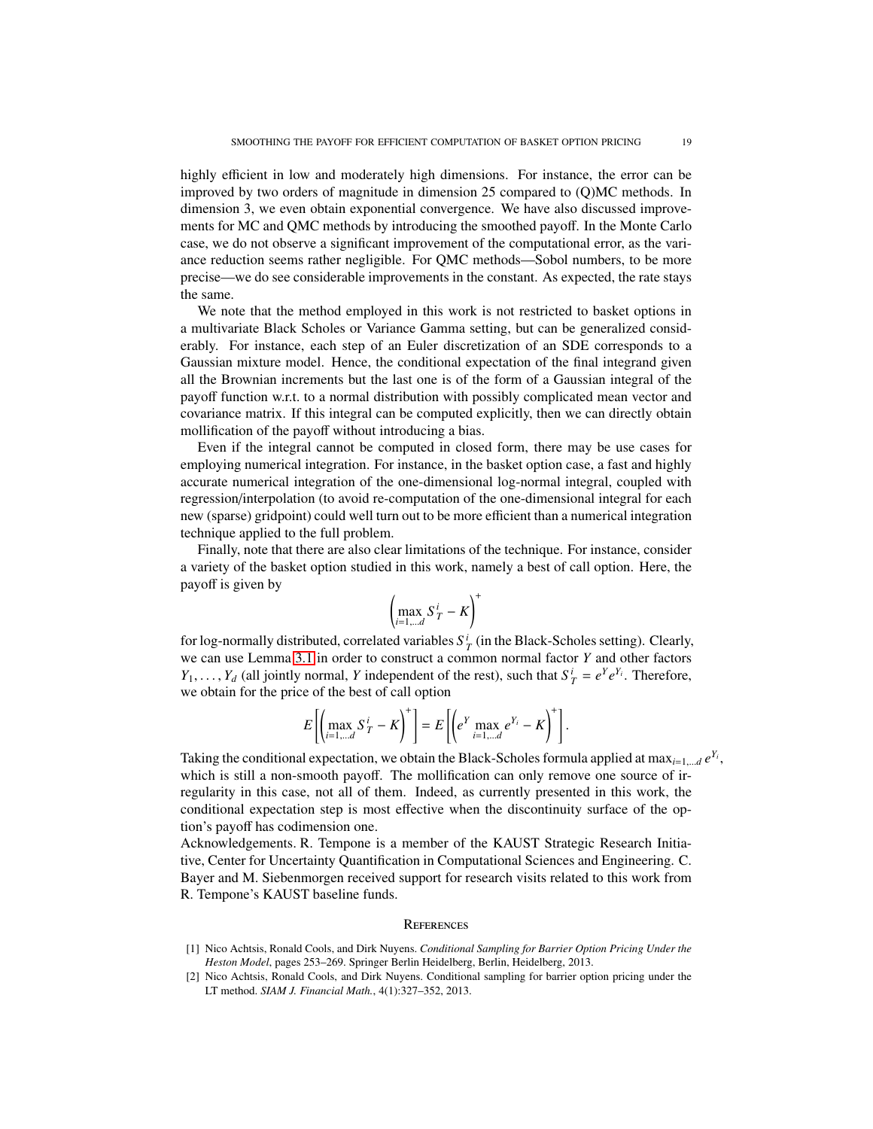highly efficient in low and moderately high dimensions. For instance, the error can be improved by two orders of magnitude in dimension 25 compared to (Q)MC methods. In dimension 3, we even obtain exponential convergence. We have also discussed improvements for MC and QMC methods by introducing the smoothed payoff. In the Monte Carlo case, we do not observe a significant improvement of the computational error, as the variance reduction seems rather negligible. For QMC methods—Sobol numbers, to be more precise—we do see considerable improvements in the constant. As expected, the rate stays the same.

We note that the method employed in this work is not restricted to basket options in a multivariate Black Scholes or Variance Gamma setting, but can be generalized considerably. For instance, each step of an Euler discretization of an SDE corresponds to a Gaussian mixture model. Hence, the conditional expectation of the final integrand given all the Brownian increments but the last one is of the form of a Gaussian integral of the payoff function w.r.t. to a normal distribution with possibly complicated mean vector and covariance matrix. If this integral can be computed explicitly, then we can directly obtain mollification of the payoff without introducing a bias.

Even if the integral cannot be computed in closed form, there may be use cases for employing numerical integration. For instance, in the basket option case, a fast and highly accurate numerical integration of the one-dimensional log-normal integral, coupled with regression/interpolation (to avoid re-computation of the one-dimensional integral for each new (sparse) gridpoint) could well turn out to be more efficient than a numerical integration technique applied to the full problem.

Finally, note that there are also clear limitations of the technique. For instance, consider a variety of the basket option studied in this work, namely a best of call option. Here, the payoff is given by

$$
\left(\max_{i=1,\dots d} S_T^i - K\right)^+
$$

for log-normally distributed, correlated variables  $S_T^i$  (in the Black-Scholes setting). Clearly, we can use Lemma [3.1](#page-7-0) in order to construct a common normal factor *Y* and other factors *Y*<sub>1</sub>, . . . , *Y*<sub>*d*</sub> (all jointly normal, *Y* independent of the rest), such that  $S_T^i = e^Y e^{Y_i}$ . Therefore, we obtain for the price of the best of call option we obtain for the price of the best of call option

$$
E\left[\left(\max_{i=1,\dots,d} S^i_T - K\right)^+\right] = E\left[\left(e^Y \max_{i=1,\dots,d} e^{Y_i} - K\right)^+\right].
$$

Taking the conditional expectation, we obtain the Black-Scholes formula applied at max<sub>*i*=1,...*d*</sub>  $e^{Y_i}$ , which is still a non-smooth payoff. The mollification can only remove one source of irregularity in this case, not all of them. Indeed, as currently presented in this work, the conditional expectation step is most effective when the discontinuity surface of the option's payoff has codimension one.

Acknowledgements. R. Tempone is a member of the KAUST Strategic Research Initiative, Center for Uncertainty Quantification in Computational Sciences and Engineering. C. Bayer and M. Siebenmorgen received support for research visits related to this work from R. Tempone's KAUST baseline funds.

#### **REFERENCES**

- <span id="page-18-0"></span>[1] Nico Achtsis, Ronald Cools, and Dirk Nuyens. *Conditional Sampling for Barrier Option Pricing Under the Heston Model*, pages 253–269. Springer Berlin Heidelberg, Berlin, Heidelberg, 2013.
- <span id="page-18-1"></span>[2] Nico Achtsis, Ronald Cools, and Dirk Nuyens. Conditional sampling for barrier option pricing under the LT method. *SIAM J. Financial Math.*, 4(1):327–352, 2013.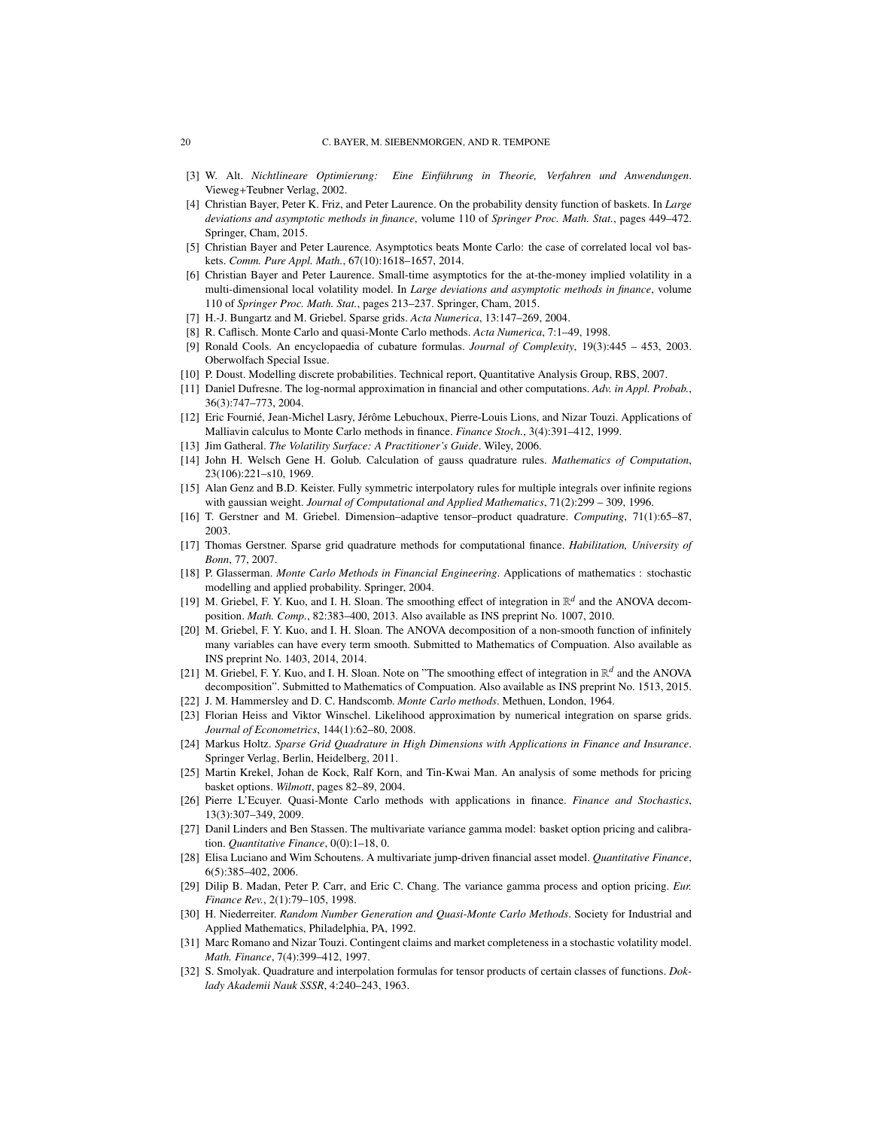- <span id="page-19-24"></span>[3] W. Alt. *Nichtlineare Optimierung: Eine Einführung in Theorie, Verfahren und Anwendungen.* Vieweg+Teubner Verlag, 2002.
- <span id="page-19-2"></span>[4] Christian Bayer, Peter K. Friz, and Peter Laurence. On the probability density function of baskets. In *Large deviations and asymptotic methods in finance*, volume 110 of *Springer Proc. Math. Stat.*, pages 449–472. Springer, Cham, 2015.
- <span id="page-19-4"></span>[5] Christian Bayer and Peter Laurence. Asymptotics beats Monte Carlo: the case of correlated local vol baskets. *Comm. Pure Appl. Math.*, 67(10):1618–1657, 2014.
- <span id="page-19-3"></span>[6] Christian Bayer and Peter Laurence. Small-time asymptotics for the at-the-money implied volatility in a multi-dimensional local volatility model. In *Large deviations and asymptotic methods in finance*, volume 110 of *Springer Proc. Math. Stat.*, pages 213–237. Springer, Cham, 2015.
- <span id="page-19-5"></span>[7] H.-J. Bungartz and M. Griebel. Sparse grids. *Acta Numerica*, 13:147–269, 2004.
- <span id="page-19-19"></span>[8] R. Caflisch. Monte Carlo and quasi-Monte Carlo methods. *Acta Numerica*, 7:1–49, 1998.
- <span id="page-19-23"></span>[9] Ronald Cools. An encyclopaedia of cubature formulas. *Journal of Complexity*, 19(3):445 – 453, 2003. Oberwolfach Special Issue.
- <span id="page-19-25"></span>[10] P. Doust. Modelling discrete probabilities. Technical report, Quantitative Analysis Group, RBS, 2007.
- <span id="page-19-1"></span>[11] Daniel Dufresne. The log-normal approximation in financial and other computations. *Adv. in Appl. Probab.*, 36(3):747–773, 2004.
- <span id="page-19-13"></span>[12] Eric Fournié, Jean-Michel Lasry, Jérôme Lebuchoux, Pierre-Louis Lions, and Nizar Touzi. Applications of Malliavin calculus to Monte Carlo methods in finance. *Finance Stoch.*, 3(4):391–412, 1999.
- <span id="page-19-15"></span>[13] Jim Gatheral. *The Volatility Surface: A Practitioner's Guide*. Wiley, 2006.
- <span id="page-19-27"></span>[14] John H. Welsch Gene H. Golub. Calculation of gauss quadrature rules. *Mathematics of Computation*, 23(106):221–s10, 1969.
- <span id="page-19-22"></span>[15] Alan Genz and B.D. Keister. Fully symmetric interpolatory rules for multiple integrals over infinite regions with gaussian weight. *Journal of Computational and Applied Mathematics*, 71(2):299 – 309, 1996.
- <span id="page-19-6"></span>[16] T. Gerstner and M. Griebel. Dimension–adaptive tensor–product quadrature. *Computing*, 71(1):65–87, 2003.
- <span id="page-19-11"></span>[17] Thomas Gerstner. Sparse grid quadrature methods for computational finance. *Habilitation, University of Bonn*, 77, 2007.
- <span id="page-19-28"></span>[18] P. Glasserman. *Monte Carlo Methods in Financial Engineering*. Applications of mathematics : stochastic modelling and applied probability. Springer, 2004.
- <span id="page-19-8"></span>[19] M. Griebel, F. Y. Kuo, and I. H. Sloan. The smoothing effect of integration in  $\mathbb{R}^d$  and the ANOVA decomposition. *Math. Comp.*, 82:383–400, 2013. Also available as INS preprint No. 1007, 2010.
- <span id="page-19-9"></span>[20] M. Griebel, F. Y. Kuo, and I. H. Sloan. The ANOVA decomposition of a non-smooth function of infinitely many variables can have every term smooth. Submitted to Mathematics of Compuation. Also available as INS preprint No. 1403, 2014, 2014.
- <span id="page-19-10"></span>[21] M. Griebel, F. Y. Kuo, and I. H. Sloan. Note on "The smoothing effect of integration in  $\mathbb{R}^d$  and the ANOVA decomposition". Submitted to Mathematics of Compuation. Also available as INS preprint No. 1513, 2015.
- <span id="page-19-18"></span>[22] J. M. Hammersley and D. C. Handscomb. *Monte Carlo methods*. Methuen, London, 1964.
- <span id="page-19-26"></span>[23] Florian Heiss and Viktor Winschel. Likelihood approximation by numerical integration on sparse grids. *Journal of Econometrics*, 144(1):62–80, 2008.
- <span id="page-19-12"></span>[24] Markus Holtz. *Sparse Grid Quadrature in High Dimensions with Applications in Finance and Insurance*. Springer Verlag, Berlin, Heidelberg, 2011.
- <span id="page-19-0"></span>[25] Martin Krekel, Johan de Kock, Ralf Korn, and Tin-Kwai Man. An analysis of some methods for pricing basket options. *Wilmott*, pages 82–89, 2004.
- <span id="page-19-7"></span>[26] Pierre L'Ecuyer. Quasi-Monte Carlo methods with applications in finance. *Finance and Stochastics*, 13(3):307–349, 2009.
- <span id="page-19-17"></span>[27] Danil Linders and Ben Stassen. The multivariate variance gamma model: basket option pricing and calibration. *Quantitative Finance*, 0(0):1–18, 0.
- <span id="page-19-29"></span>[28] Elisa Luciano and Wim Schoutens. A multivariate jump-driven financial asset model. *Quantitative Finance*, 6(5):385–402, 2006.
- <span id="page-19-16"></span>[29] Dilip B. Madan, Peter P. Carr, and Eric C. Chang. The variance gamma process and option pricing. *Eur. Finance Rev.*, 2(1):79–105, 1998.
- <span id="page-19-20"></span>[30] H. Niederreiter. *Random Number Generation and Quasi-Monte Carlo Methods*. Society for Industrial and Applied Mathematics, Philadelphia, PA, 1992.
- <span id="page-19-14"></span>[31] Marc Romano and Nizar Touzi. Contingent claims and market completeness in a stochastic volatility model. *Math. Finance*, 7(4):399–412, 1997.
- <span id="page-19-21"></span>[32] S. Smolyak. Quadrature and interpolation formulas for tensor products of certain classes of functions. *Doklady Akademii Nauk SSSR*, 4:240–243, 1963.